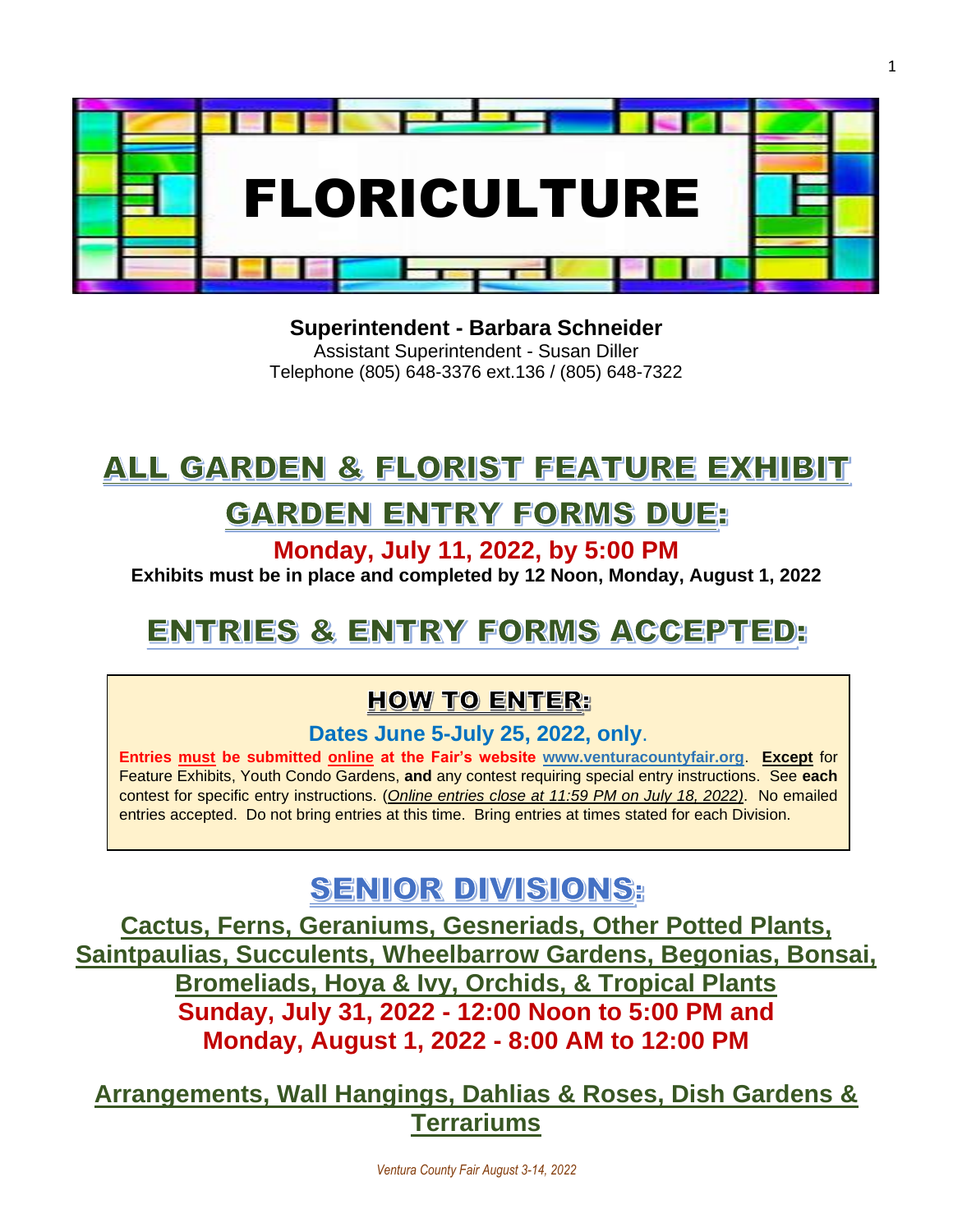

**Superintendent - Barbara Schneider**

Assistant Superintendent - Susan Diller Telephone (805) 648-3376 ext.136 / (805) 648-7322

## ALL GARDEN & FLORIST FEATURE EXHIBIT

## GARDEN ENTRY FORMS DUE:

**Monday, July 11, 2022, by 5:00 PM**

**Exhibits must be in place and completed by 12 Noon, Monday, August 1, 2022**

## ENTRIES & ENTRY FORMS ACCEPTED.

### **HOW TO ENTER:**

**Dates June 5-July 25, 2022, only**.

**Entries must be submitted online at the Fair's website [www.venturacountyfair.org](http://www.venturacountyfair.org/)**. **Except** for Feature Exhibits, Youth Condo Gardens, **and** any contest requiring special entry instructions. See **each** contest for specific entry instructions. (*Online entries close at 11:59 PM on July 18, 2022)*. No emailed entries accepted. Do not bring entries at this time. Bring entries at times stated for each Division.

## **SENIOR DIVISIONS:**

**Cactus, Ferns, Geraniums, Gesneriads, Other Potted Plants, Saintpaulias, Succulents, Wheelbarrow Gardens, Begonias, Bonsai, Bromeliads, Hoya & Ivy, Orchids, & Tropical Plants Sunday, July 31, 2022 - 12:00 Noon to 5:00 PM and Monday, August 1, 2022 - 8:00 AM to 12:00 PM**

**Arrangements, Wall Hangings, Dahlias & Roses, Dish Gardens & Terrariums**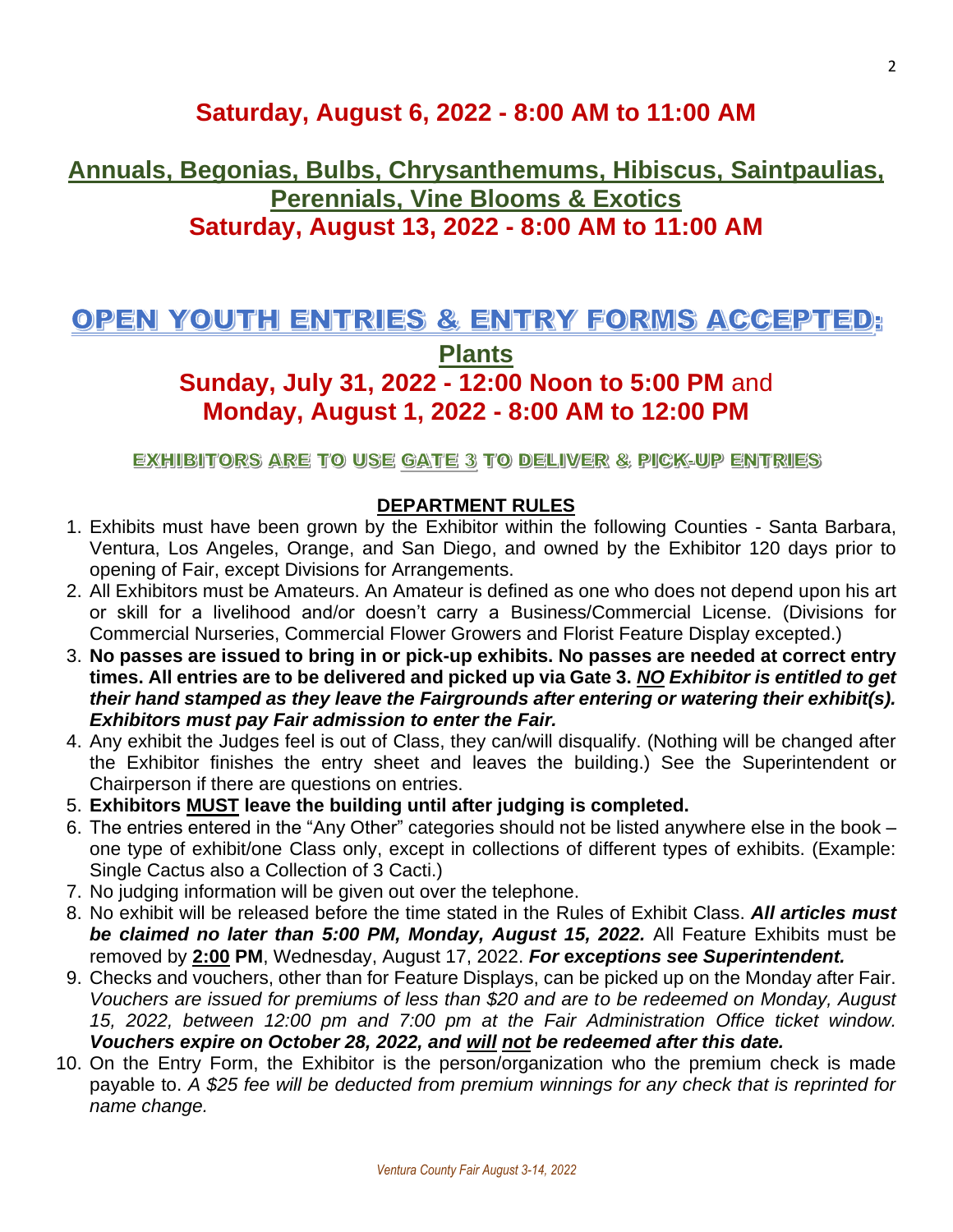### **Saturday, August 6, 2022 - 8:00 AM to 11:00 AM**

### **Annuals, Begonias, Bulbs, Chrysanthemums, Hibiscus, Saintpaulias, Perennials, Vine Blooms & Exotics Saturday, August 13, 2022 - 8:00 AM to 11:00 AM**

### OPEN YOUTH ENTRIES & ENTRY FORMS ACCEPTED:

**Plants**

### **Sunday, July 31, 2022 - 12:00 Noon to 5:00 PM** and **Monday, August 1, 2022 - 8:00 AM to 12:00 PM**

EXHIBITORS ARE TO USE GATE 3 TO DELIVER & PICK-UP ENTRIES

### **DEPARTMENT RULES**

- 1. Exhibits must have been grown by the Exhibitor within the following Counties Santa Barbara, Ventura, Los Angeles, Orange, and San Diego, and owned by the Exhibitor 120 days prior to opening of Fair, except Divisions for Arrangements.
- 2. All Exhibitors must be Amateurs. An Amateur is defined as one who does not depend upon his art or skill for a livelihood and/or doesn't carry a Business/Commercial License. (Divisions for Commercial Nurseries, Commercial Flower Growers and Florist Feature Display excepted.)
- 3. **No passes are issued to bring in or pick-up exhibits. No passes are needed at correct entry times. All entries are to be delivered and picked up via Gate 3.** *NO Exhibitor is entitled to get their hand stamped as they leave the Fairgrounds after entering or watering their exhibit(s). Exhibitors must pay Fair admission to enter the Fair.*
- 4. Any exhibit the Judges feel is out of Class, they can/will disqualify. (Nothing will be changed after the Exhibitor finishes the entry sheet and leaves the building.) See the Superintendent or Chairperson if there are questions on entries.
- 5. **Exhibitors MUST leave the building until after judging is completed.**
- 6. The entries entered in the "Any Other" categories should not be listed anywhere else in the book one type of exhibit/one Class only, except in collections of different types of exhibits. (Example: Single Cactus also a Collection of 3 Cacti.)
- 7. No judging information will be given out over the telephone.
- 8. No exhibit will be released before the time stated in the Rules of Exhibit Class. *All articles must be claimed no later than 5:00 PM, Monday, August 15, 2022.* All Feature Exhibits must be removed by **2:00 PM**, Wednesday, August 17, 2022. *For* **e***xceptions see Superintendent.*
- 9. Checks and vouchers, other than for Feature Displays, can be picked up on the Monday after Fair. *Vouchers are issued for premiums of less than \$20 and are to be redeemed on Monday, August 15, 2022, between 12:00 pm and 7:00 pm at the Fair Administration Office ticket window. Vouchers expire on October 28, 2022, and will not be redeemed after this date.*
- 10. On the Entry Form, the Exhibitor is the person/organization who the premium check is made payable to. *A \$25 fee will be deducted from premium winnings for any check that is reprinted for name change.*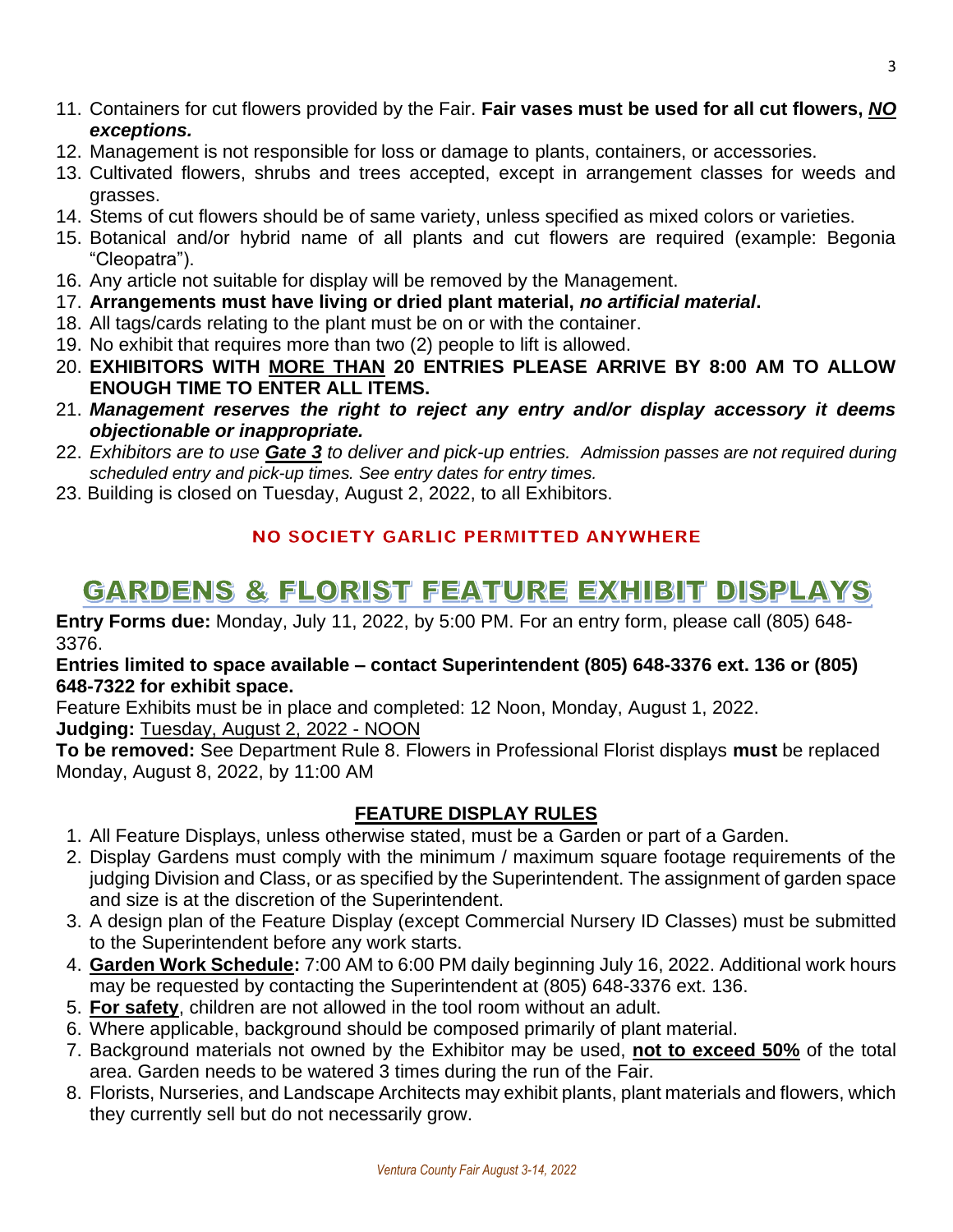- 11. Containers for cut flowers provided by the Fair. **Fair vases must be used for all cut flowers,** *NO exceptions.*
- 12. Management is not responsible for loss or damage to plants, containers, or accessories.
- 13. Cultivated flowers, shrubs and trees accepted, except in arrangement classes for weeds and grasses.
- 14. Stems of cut flowers should be of same variety, unless specified as mixed colors or varieties.
- 15. Botanical and/or hybrid name of all plants and cut flowers are required (example: Begonia "Cleopatra").
- 16. Any article not suitable for display will be removed by the Management.
- 17. **Arrangements must have living or dried plant material,** *no artificial material***.**
- 18. All tags/cards relating to the plant must be on or with the container.
- 19. No exhibit that requires more than two (2) people to lift is allowed.
- 20. **EXHIBITORS WITH MORE THAN 20 ENTRIES PLEASE ARRIVE BY 8:00 AM TO ALLOW ENOUGH TIME TO ENTER ALL ITEMS.**
- 21. *Management reserves the right to reject any entry and/or display accessory it deems objectionable or inappropriate.*
- 22. *Exhibitors are to use Gate 3 to deliver and pick-up entries. Admission passes are not required during scheduled entry and pick-up times. See entry dates for entry times.*
- 23. Building is closed on Tuesday, August 2, 2022, to all Exhibitors.

### **NO SOCIETY GARLIC PERMITTED ANYWHERE**

## **GARDENS & FLORIST FEATURE EXHIBIT DISPLAYS**

**Entry Forms due:** Monday, July 11, 2022, by 5:00 PM. For an entry form, please call (805) 648- 3376.

### **Entries limited to space available – contact Superintendent (805) 648-3376 ext. 136 or (805) 648-7322 for exhibit space.**

Feature Exhibits must be in place and completed: 12 Noon, Monday, August 1, 2022. **Judging:** Tuesday, August 2, 2022 - NOON

**To be removed:** See Department Rule 8. Flowers in Professional Florist displays **must** be replaced Monday, August 8, 2022, by 11:00 AM

### **FEATURE DISPLAY RULES**

- 1. All Feature Displays, unless otherwise stated, must be a Garden or part of a Garden.
- 2. Display Gardens must comply with the minimum / maximum square footage requirements of the judging Division and Class, or as specified by the Superintendent. The assignment of garden space and size is at the discretion of the Superintendent.
- 3. A design plan of the Feature Display (except Commercial Nursery ID Classes) must be submitted to the Superintendent before any work starts.
- 4. **Garden Work Schedule:** 7:00 AM to 6:00 PM daily beginning July 16, 2022. Additional work hours may be requested by contacting the Superintendent at (805) 648-3376 ext. 136.
- 5. **For safety**, children are not allowed in the tool room without an adult.
- 6. Where applicable, background should be composed primarily of plant material.
- 7. Background materials not owned by the Exhibitor may be used, **not to exceed 50%** of the total area. Garden needs to be watered 3 times during the run of the Fair.
- 8. Florists, Nurseries, and Landscape Architects may exhibit plants, plant materials and flowers, which they currently sell but do not necessarily grow.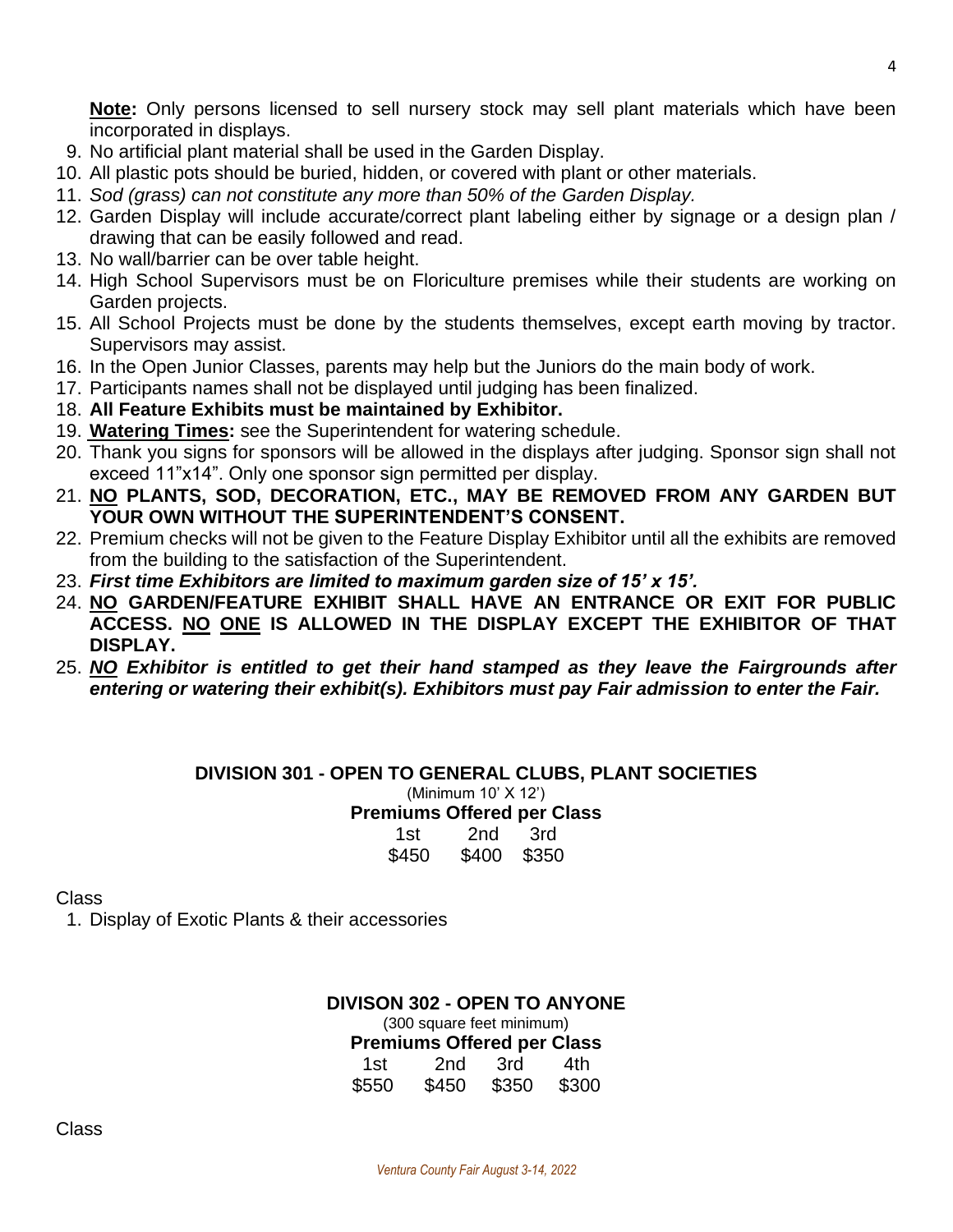**Note:** Only persons licensed to sell nursery stock may sell plant materials which have been incorporated in displays.

- 9. No artificial plant material shall be used in the Garden Display.
- 10. All plastic pots should be buried, hidden, or covered with plant or other materials.
- 11. *Sod (grass) can not constitute any more than 50% of the Garden Display.*
- 12. Garden Display will include accurate/correct plant labeling either by signage or a design plan / drawing that can be easily followed and read.
- 13. No wall/barrier can be over table height.
- 14. High School Supervisors must be on Floriculture premises while their students are working on Garden projects.
- 15. All School Projects must be done by the students themselves, except earth moving by tractor. Supervisors may assist.
- 16. In the Open Junior Classes, parents may help but the Juniors do the main body of work.
- 17. Participants names shall not be displayed until judging has been finalized.
- 18. **All Feature Exhibits must be maintained by Exhibitor.**
- 19. **Watering Times:** see the Superintendent for watering schedule.
- 20. Thank you signs for sponsors will be allowed in the displays after judging. Sponsor sign shall not exceed 11"x14". Only one sponsor sign permitted per display.
- 21. **NO PLANTS, SOD, DECORATION, ETC., MAY BE REMOVED FROM ANY GARDEN BUT YOUR OWN WITHOUT THE SUPERINTENDENT'S CONSENT.**
- 22. Premium checks will not be given to the Feature Display Exhibitor until all the exhibits are removed from the building to the satisfaction of the Superintendent.
- 23. *First time Exhibitors are limited to maximum garden size of 15' x 15'.*
- 24. **NO GARDEN/FEATURE EXHIBIT SHALL HAVE AN ENTRANCE OR EXIT FOR PUBLIC ACCESS. NO ONE IS ALLOWED IN THE DISPLAY EXCEPT THE EXHIBITOR OF THAT DISPLAY.**
- 25. *NO Exhibitor is entitled to get their hand stamped as they leave the Fairgrounds after entering or watering their exhibit(s). Exhibitors must pay Fair admission to enter the Fair.*

**DIVISION 301 - OPEN TO GENERAL CLUBS, PLANT SOCIETIES** (Minimum 10' X 12') **Premiums Offered per Class** 1st 2nd 3rd \$450 \$400 \$350

**Class** 

1. Display of Exotic Plants & their accessories

**DIVISON 302 - OPEN TO ANYONE** (300 square feet minimum) **Premiums Offered per Class**

| 1st   | 2nd   | 3rd   | 4th   |
|-------|-------|-------|-------|
| \$550 | \$450 | \$350 | \$300 |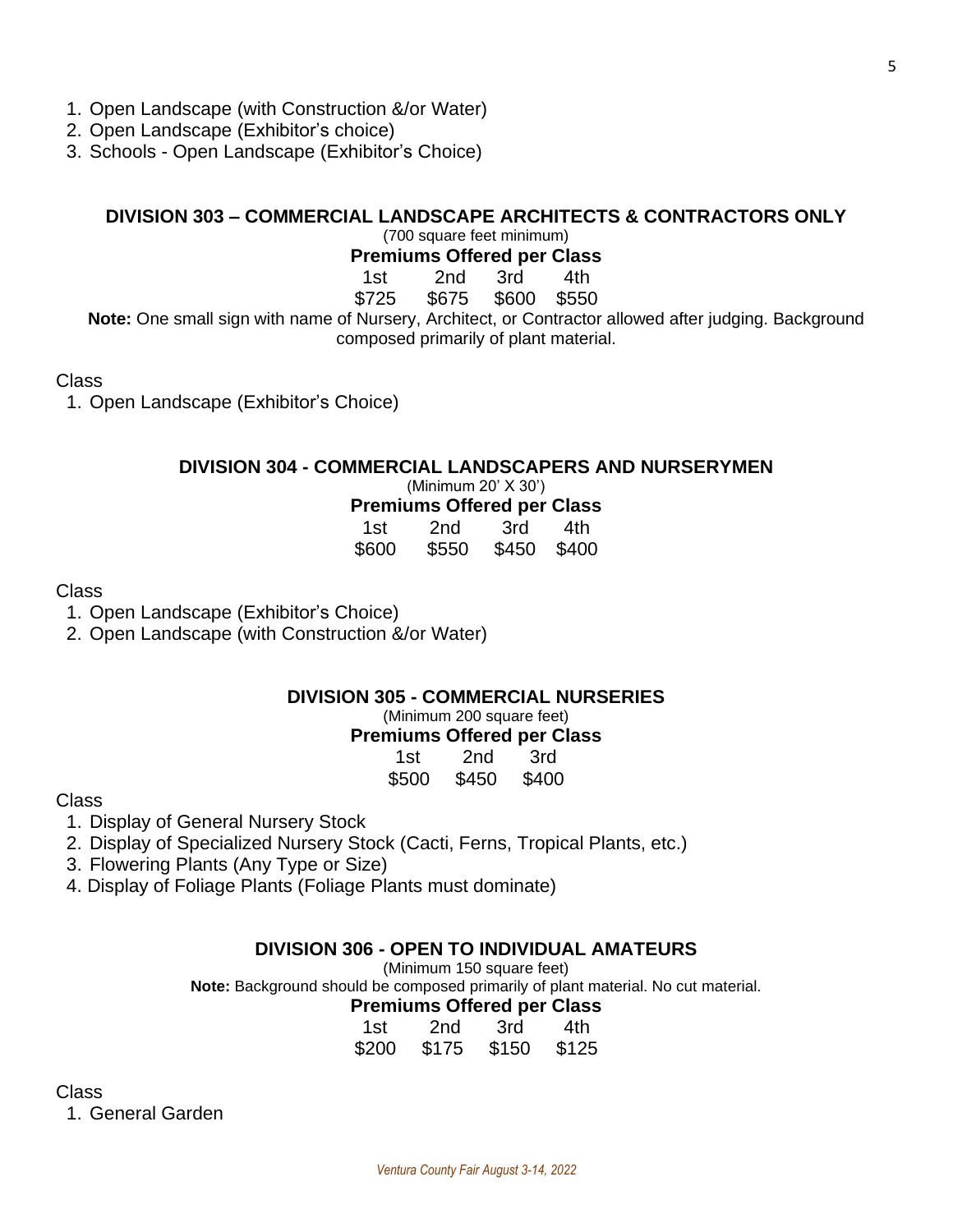- 1. Open Landscape (with Construction &/or Water)
- 2. Open Landscape (Exhibitor's choice)
- 3. Schools Open Landscape (Exhibitor's Choice)

### **DIVISION 303 – COMMERCIAL LANDSCAPE ARCHITECTS & CONTRACTORS ONLY**

(700 square feet minimum)

**Premiums Offered per Class**

1st 2nd 3rd 4th

\$725 \$675 \$600 \$550

**Note:** One small sign with name of Nursery, Architect, or Contractor allowed after judging. Background composed primarily of plant material.

Class

1. Open Landscape (Exhibitor's Choice)

### **DIVISION 304 - COMMERCIAL LANDSCAPERS AND NURSERYMEN**

(Minimum 20' X 30')

**Premiums Offered per Class**

| 1st.  | 2nd   | 3rd   | 4th   |
|-------|-------|-------|-------|
| \$600 | \$550 | \$450 | \$400 |

Class

1. Open Landscape (Exhibitor's Choice)

2. Open Landscape (with Construction &/or Water)

### **DIVISION 305 - COMMERCIAL NURSERIES**

(Minimum 200 square feet)

### **Premiums Offered per Class**

| 1st   | 2nd   | 3rd   |
|-------|-------|-------|
| \$500 | \$450 | \$400 |

Class

- 1. Display of General Nursery Stock
- 2. Display of Specialized Nursery Stock (Cacti, Ferns, Tropical Plants, etc.)
- 3. Flowering Plants (Any Type or Size)
- 4. Display of Foliage Plants (Foliage Plants must dominate)

#### **DIVISION 306 - OPEN TO INDIVIDUAL AMATEURS**

(Minimum 150 square feet)

**Note:** Background should be composed primarily of plant material. No cut material.

#### **Premiums Offered per Class**

| 1st   | 2nd   | 3rd   | 4th   |
|-------|-------|-------|-------|
| \$200 | \$175 | \$150 | \$125 |

Class

1. General Garden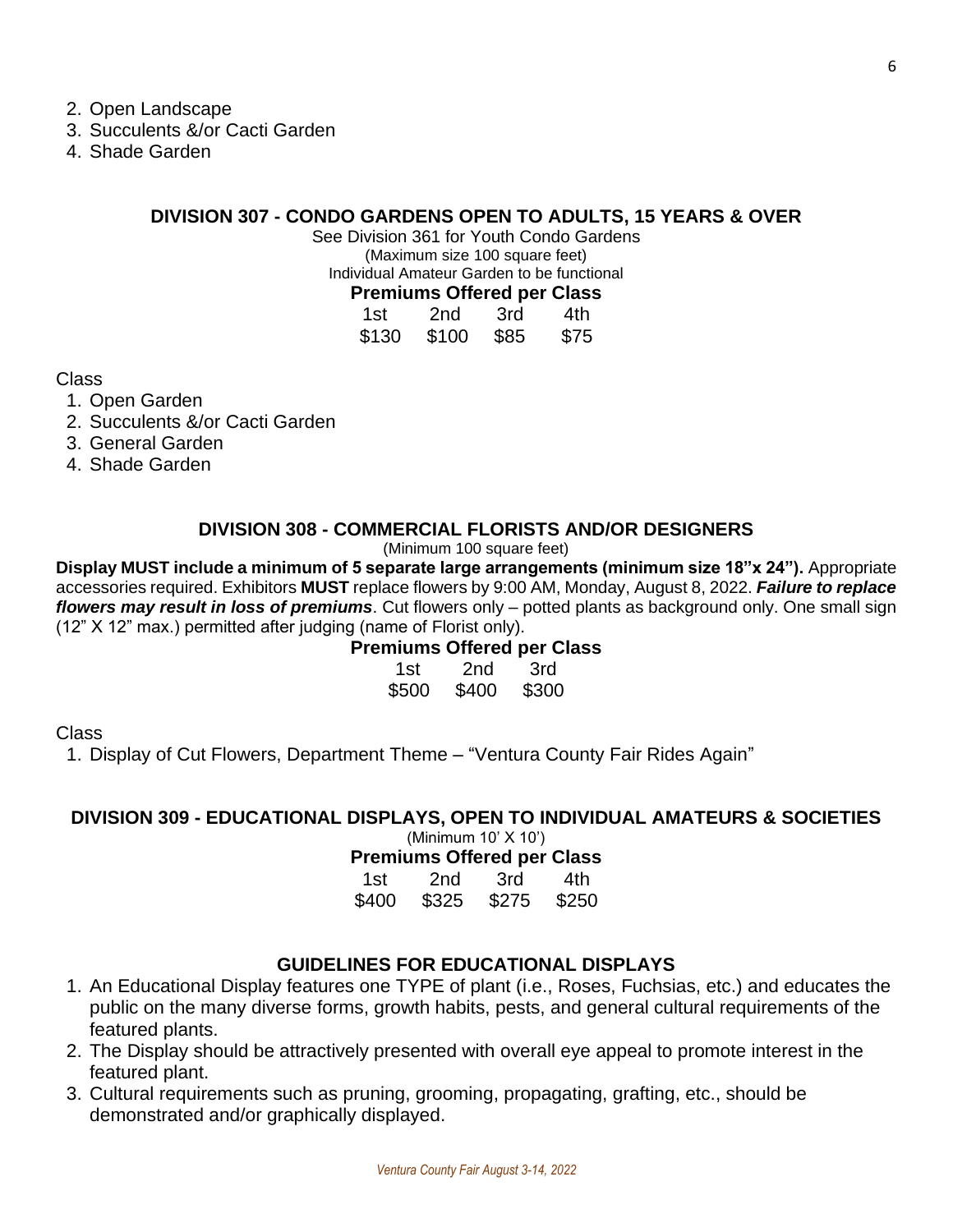2. Open Landscape

- 3. Succulents &/or Cacti Garden
- 4. Shade Garden

### **DIVISION 307 - CONDO GARDENS OPEN TO ADULTS, 15 YEARS & OVER**

See Division 361 for Youth Condo Gardens (Maximum size 100 square feet) Individual Amateur Garden to be functional **Premiums Offered per Class**

|       | remnums Onereu per Olds. |      |      |
|-------|--------------------------|------|------|
| 1st   | 2nd                      | 3rd  | 4th  |
| \$130 | \$100                    | \$85 | \$75 |

Class

- 1. Open Garden
- 2. Succulents &/or Cacti Garden
- 3. General Garden
- 4. Shade Garden

### **DIVISION 308 - COMMERCIAL FLORISTS AND/OR DESIGNERS**

(Minimum 100 square feet)

**Display MUST include a minimum of 5 separate large arrangements (minimum size 18"x 24").** Appropriate accessories required. Exhibitors **MUST** replace flowers by 9:00 AM, Monday, August 8, 2022. *Failure to replace flowers may result in loss of premiums*. Cut flowers only – potted plants as background only. One small sign (12" X 12" max.) permitted after judging (name of Florist only).

### **Premiums Offered per Class**

| 1st   | 2nd   | 3rd   |
|-------|-------|-------|
| \$500 | \$400 | \$300 |

Class

1. Display of Cut Flowers, Department Theme – "Ventura County Fair Rides Again"

### **DIVISION 309 - EDUCATIONAL DISPLAYS, OPEN TO INDIVIDUAL AMATEURS & SOCIETIES** (Minimum 10' X 10')

**Premiums Offered per Class**

| 1st   | 2nd   | 3rd   | 4th   |
|-------|-------|-------|-------|
| \$400 | \$325 | \$275 | \$250 |

### **GUIDELINES FOR EDUCATIONAL DISPLAYS**

- 1. An Educational Display features one TYPE of plant (i.e., Roses, Fuchsias, etc.) and educates the public on the many diverse forms, growth habits, pests, and general cultural requirements of the featured plants.
- 2. The Display should be attractively presented with overall eye appeal to promote interest in the featured plant.
- 3. Cultural requirements such as pruning, grooming, propagating, grafting, etc., should be demonstrated and/or graphically displayed.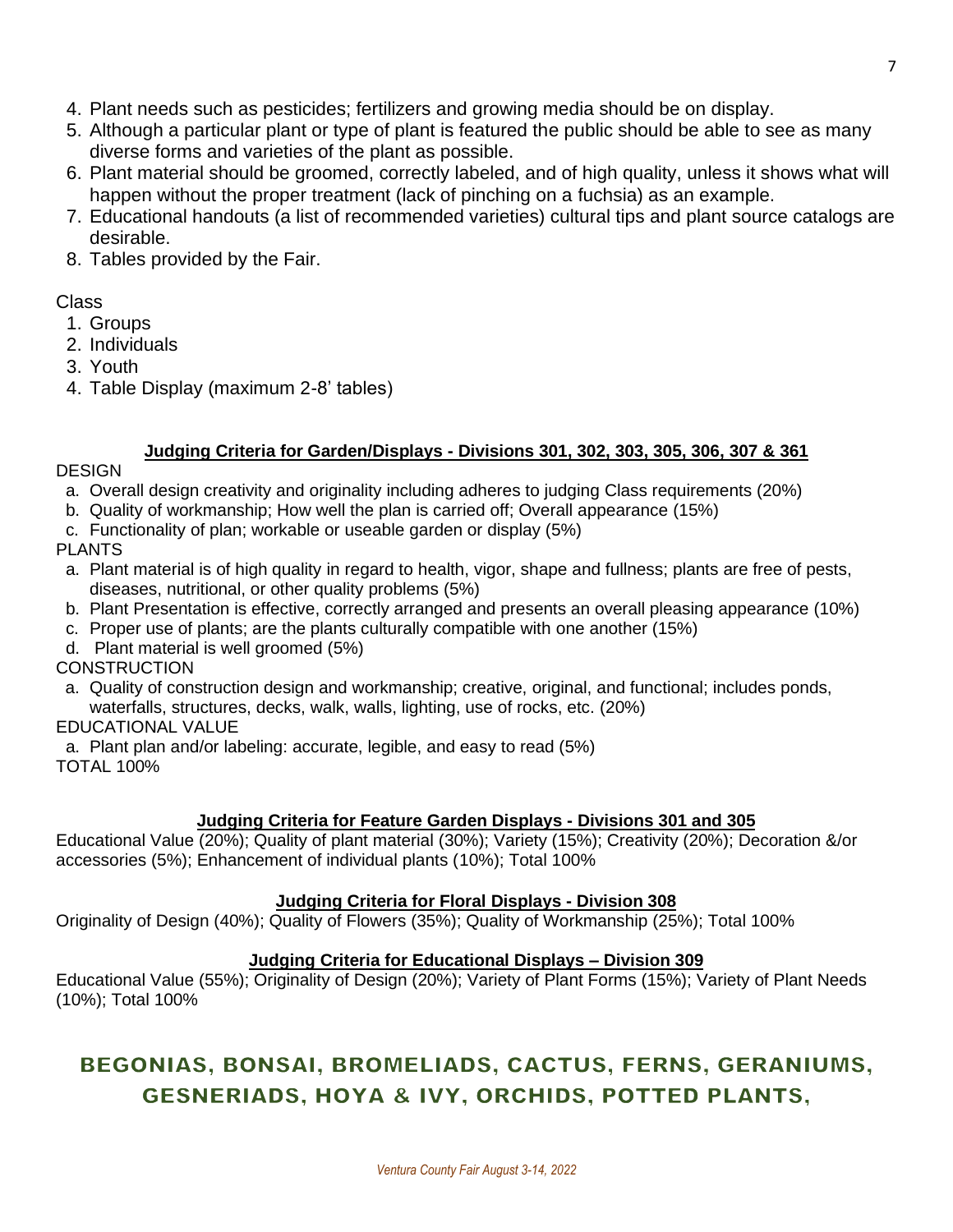- 5. Although a particular plant or type of plant is featured the public should be able to see as many diverse forms and varieties of the plant as possible.
- 6. Plant material should be groomed, correctly labeled, and of high quality, unless it shows what will happen without the proper treatment (lack of pinching on a fuchsia) as an example.
- 7. Educational handouts (a list of recommended varieties) cultural tips and plant source catalogs are desirable.
- 8. Tables provided by the Fair.

### Class

- 1. Groups
- 2. Individuals
- 3. Youth
- 4. Table Display (maximum 2-8' tables)

### **Judging Criteria for Garden/Displays - Divisions 301, 302, 303, 305, 306, 307 & 361**

### **DESIGN**

- a. Overall design creativity and originality including adheres to judging Class requirements (20%)
- b. Quality of workmanship; How well the plan is carried off; Overall appearance (15%)
- c. Functionality of plan; workable or useable garden or display (5%)

### PLANTS

- a. Plant material is of high quality in regard to health, vigor, shape and fullness; plants are free of pests, diseases, nutritional, or other quality problems (5%)
- b. Plant Presentation is effective, correctly arranged and presents an overall pleasing appearance (10%)
- c. Proper use of plants; are the plants culturally compatible with one another (15%)
- d. Plant material is well groomed (5%)

### **CONSTRUCTION**

a. Quality of construction design and workmanship; creative, original, and functional; includes ponds, waterfalls, structures, decks, walk, walls, lighting, use of rocks, etc. (20%)

### EDUCATIONAL VALUE

a. Plant plan and/or labeling: accurate, legible, and easy to read (5%)

TOTAL 100%

### **Judging Criteria for Feature Garden Displays - Divisions 301 and 305**

Educational Value (20%); Quality of plant material (30%); Variety (15%); Creativity (20%); Decoration &/or accessories (5%); Enhancement of individual plants (10%); Total 100%

### **Judging Criteria for Floral Displays - Division 308**

Originality of Design (40%); Quality of Flowers (35%); Quality of Workmanship (25%); Total 100%

### **Judging Criteria for Educational Displays – Division 309**

Educational Value (55%); Originality of Design (20%); Variety of Plant Forms (15%); Variety of Plant Needs (10%); Total 100%

### BEGONIAS, BONSAI, BROMELIADS, CACTUS, FERNS, GERANIUMS, **GESNERIADS, HOYA & IVY, ORCHIDS, POTTED PLANTS,**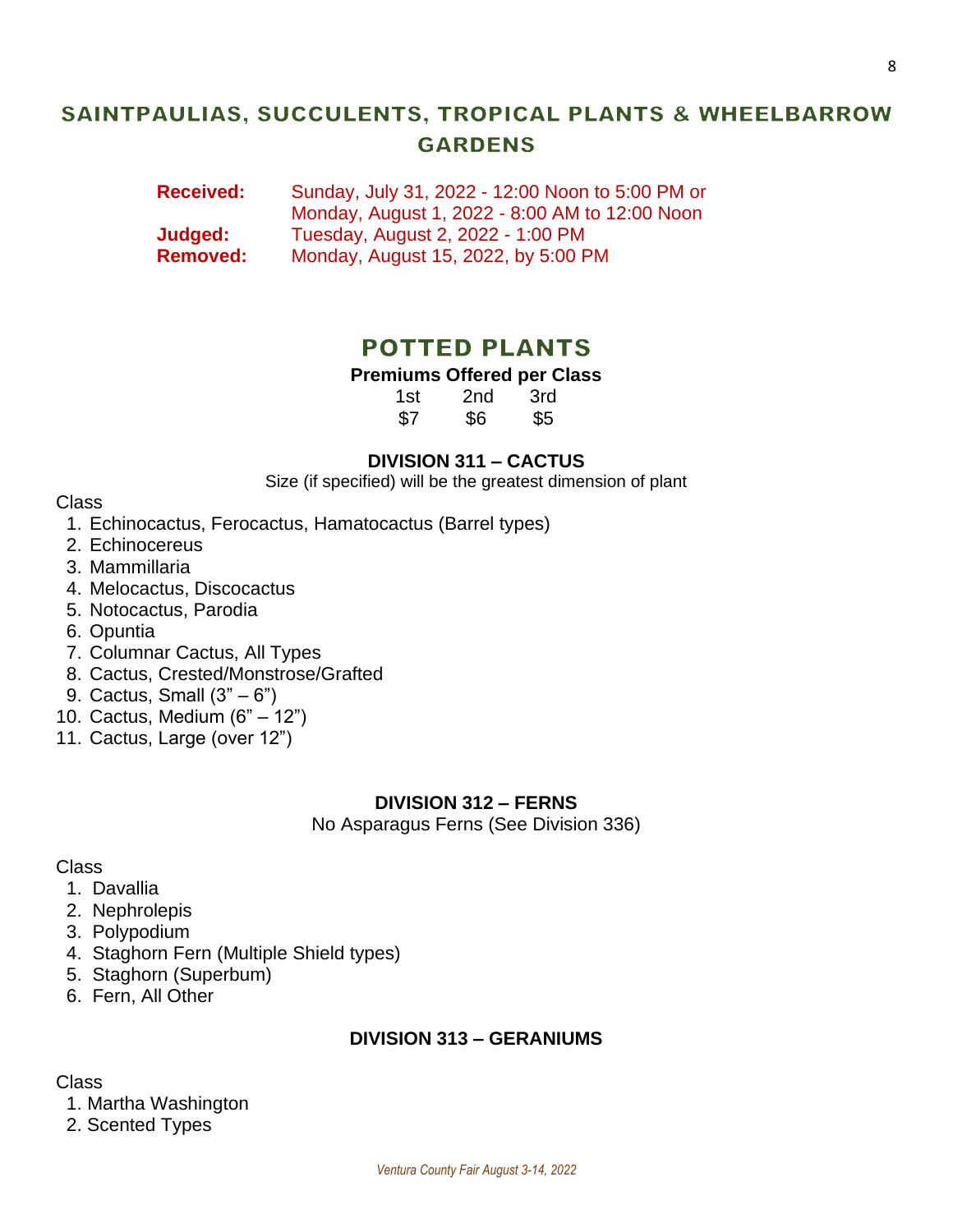### SAINTPAULIAS, SUCCULENTS, TROPICAL PLANTS & WHEELBARROW **GARDENS**

**Received:** Sunday, July 31, 2022 - 12:00 Noon to 5:00 PM or Monday, August 1, 2022 - 8:00 AM to 12:00 Noon **Judged:** Tuesday, August 2, 2022 - 1:00 PM **Removed:** Monday, August 15, 2022, by 5:00 PM

### **POTTED PLANTS**

### **Premiums Offered per Class**

1st 2nd 3rd \$7 \$6 \$5

### **DIVISION 311 – CACTUS**

Size (if specified) will be the greatest dimension of plant

### Class

- 1. Echinocactus, Ferocactus, Hamatocactus (Barrel types)
- 2. Echinocereus
- 3. Mammillaria
- 4. Melocactus, Discocactus
- 5. Notocactus, Parodia
- 6. Opuntia
- 7. Columnar Cactus, All Types
- 8. Cactus, Crested/Monstrose/Grafted
- 9. Cactus, Small (3" 6")
- 10. Cactus, Medium (6" 12")
- 11. Cactus, Large (over 12")

### **DIVISION 312 – FERNS**

No Asparagus Ferns (See Division 336)

### Class

- 1. Davallia
- 2. Nephrolepis
- 3. Polypodium
- 4. Staghorn Fern (Multiple Shield types)
- 5. Staghorn (Superbum)
- 6. Fern, All Other

### **DIVISION 313 – GERANIUMS**

Class

- 1. Martha Washington
- 2. Scented Types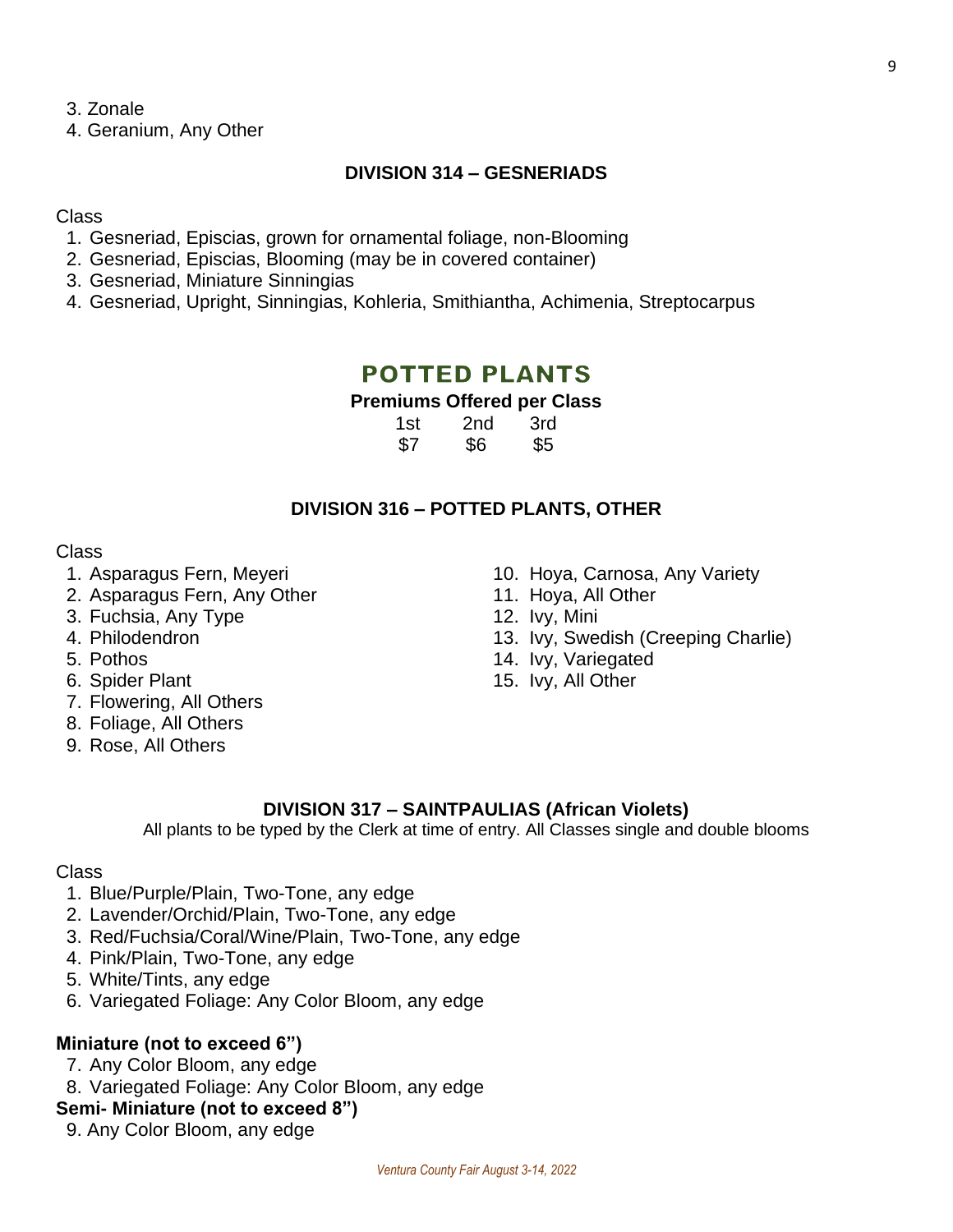3. Zonale

4. Geranium, Any Other

### **DIVISION 314 – GESNERIADS**

### Class

- 1. Gesneriad, Episcias, grown for ornamental foliage, non-Blooming
- 2. Gesneriad, Episcias, Blooming (may be in covered container)
- 3. Gesneriad, Miniature Sinningias
- 4. Gesneriad, Upright, Sinningias, Kohleria, Smithiantha, Achimenia, Streptocarpus

### **POTTED PLANTS**

### **Premiums Offered per Class**

| 1st | 2nd | 3rd |
|-----|-----|-----|
| \$7 | \$6 | \$5 |

### **DIVISION 316 – POTTED PLANTS, OTHER**

### Class

- 
- 2. Asparagus Fern, Any Other 11. Hoya, All Other
- 3. Fuchsia, Any Type 12. Ivy, Mini
- 
- 
- 
- 7. Flowering, All Others
- 8. Foliage, All Others
- 9. Rose, All Others
- 1. Asparagus Fern, Meyeri 10. Hoya, Carnosa, Any Variety
	-
	-
- 4. Philodendron 13. Ivy, Swedish (Creeping Charlie)
- 5. Pothos 14. Ivy, Variegated
- 6. Spider Plant 15. Ivy, All Other

### **DIVISION 317 – SAINTPAULIAS (African Violets)**

All plants to be typed by the Clerk at time of entry. All Classes single and double blooms

### Class

- 1. Blue/Purple/Plain, Two-Tone, any edge
- 2. Lavender/Orchid/Plain, Two-Tone, any edge
- 3. Red/Fuchsia/Coral/Wine/Plain, Two-Tone, any edge
- 4. Pink/Plain, Two-Tone, any edge
- 5. White/Tints, any edge
- 6. Variegated Foliage: Any Color Bloom, any edge

### **Miniature (not to exceed 6")**

- 7. Any Color Bloom, any edge
- 8. Variegated Foliage: Any Color Bloom, any edge

### **Semi- Miniature (not to exceed 8")**

9. Any Color Bloom, any edge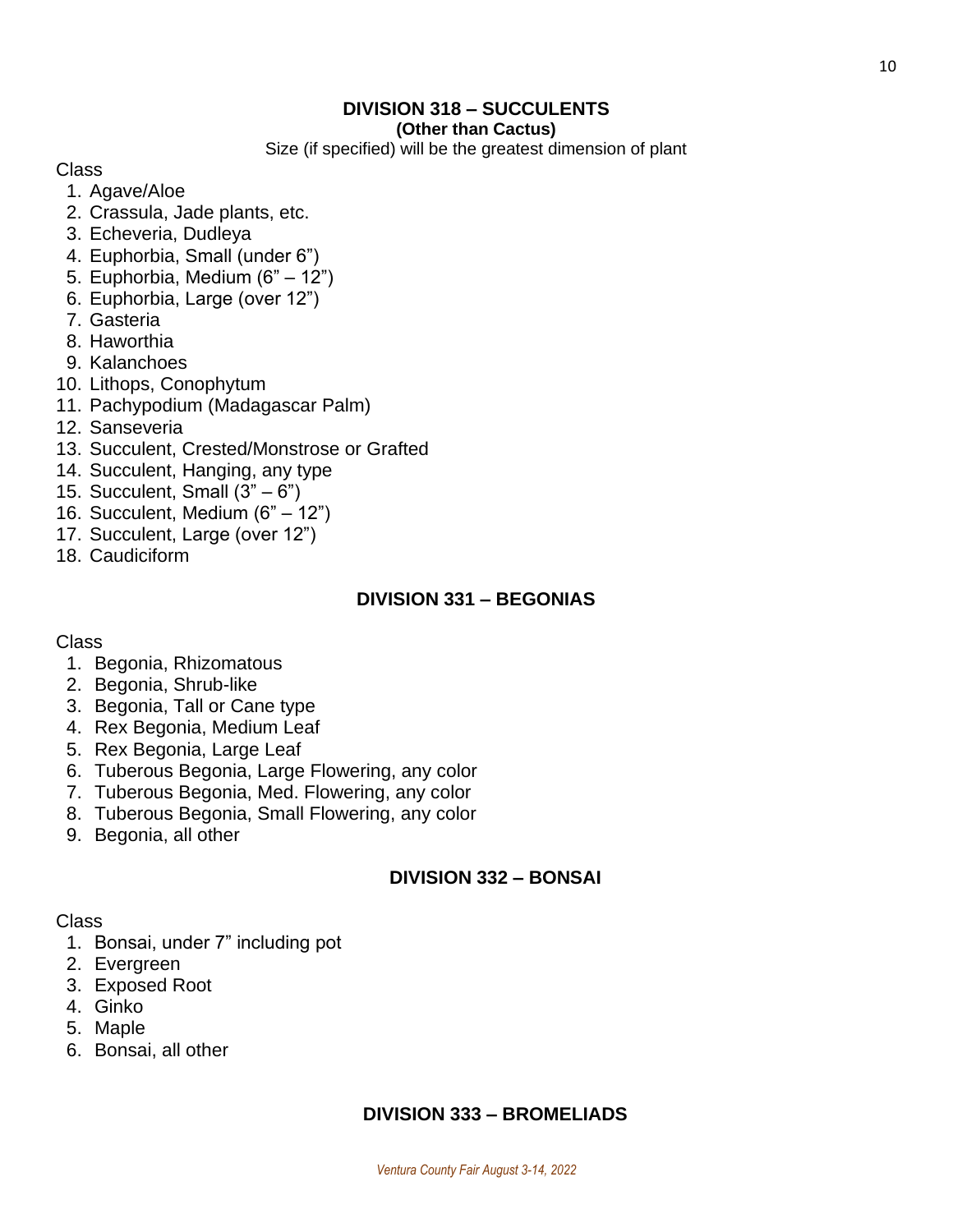### **DIVISION 318 – SUCCULENTS**

#### **(Other than Cactus)**

Size (if specified) will be the greatest dimension of plant

Class

- 1. Agave/Aloe
- 2. Crassula, Jade plants, etc.
- 3. Echeveria, Dudleya
- 4. Euphorbia, Small (under 6")
- 5. Euphorbia, Medium (6" 12")
- 6. Euphorbia, Large (over 12")
- 7. Gasteria
- 8. Haworthia
- 9. Kalanchoes
- 10. Lithops, Conophytum
- 11. Pachypodium (Madagascar Palm)
- 12. Sanseveria
- 13. Succulent, Crested/Monstrose or Grafted
- 14. Succulent, Hanging, any type
- 15. Succulent, Small  $(3<sup>n</sup> 6<sup>n</sup>)$
- 16. Succulent, Medium (6" 12")
- 17. Succulent, Large (over 12")
- 18. Caudiciform

### **DIVISION 331 – BEGONIAS**

### Class

- 1. Begonia, Rhizomatous
- 2. Begonia, Shrub-like
- 3. Begonia, Tall or Cane type
- 4. Rex Begonia, Medium Leaf
- 5. Rex Begonia, Large Leaf
- 6. Tuberous Begonia, Large Flowering, any color
- 7. Tuberous Begonia, Med. Flowering, any color
- 8. Tuberous Begonia, Small Flowering, any color
- 9. Begonia, all other

### **DIVISION 332 – BONSAI**

### Class

- 1. Bonsai, under 7" including pot
- 2. Evergreen
- 3. Exposed Root
- 4. Ginko
- 5. Maple
- 6. Bonsai, all other

### **DIVISION 333 – BROMELIADS**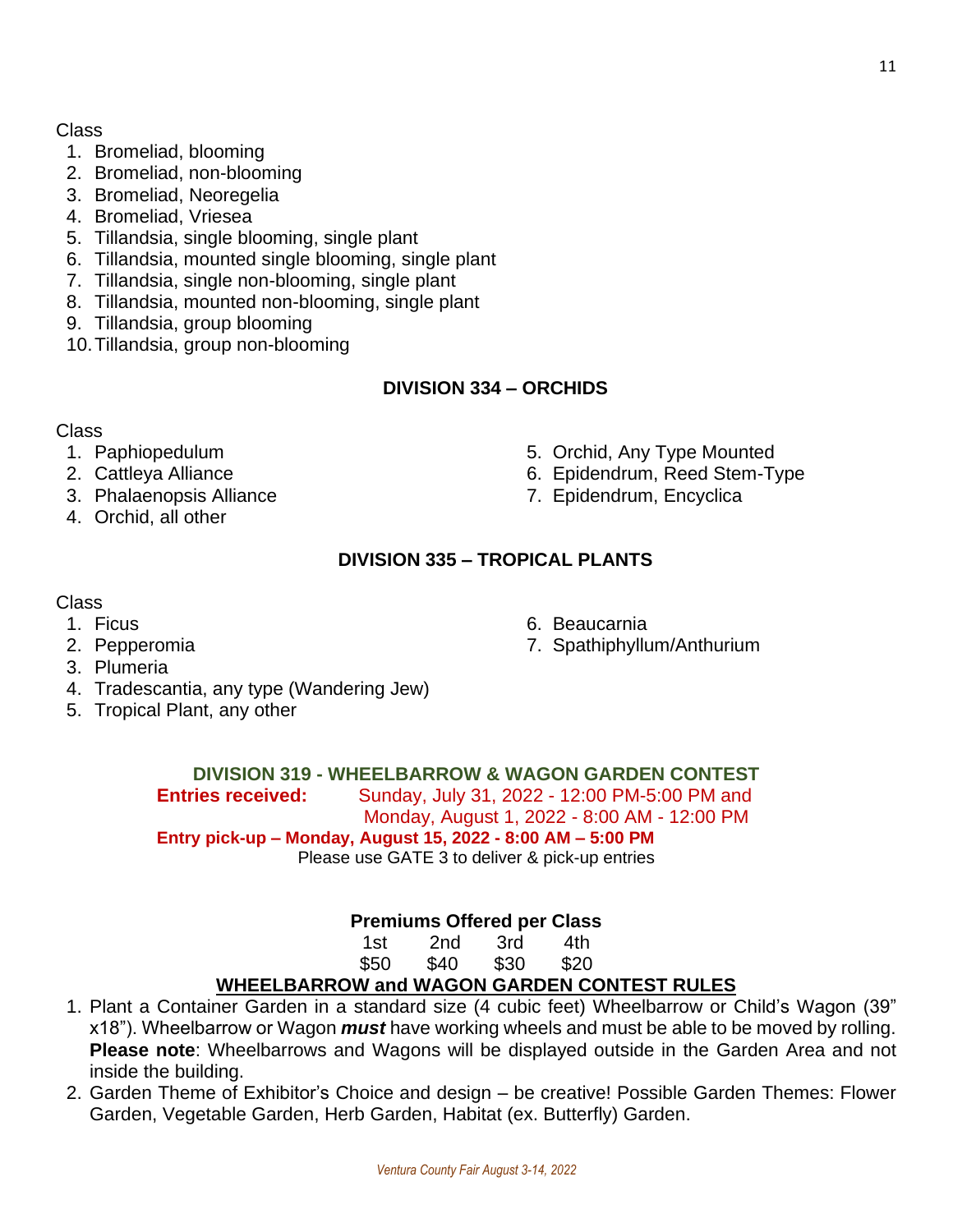### Class

- 1. Bromeliad, blooming
- 2. Bromeliad, non-blooming
- 3. Bromeliad, Neoregelia
- 4. Bromeliad, Vriesea
- 5. Tillandsia, single blooming, single plant
- 6. Tillandsia, mounted single blooming, single plant
- 7. Tillandsia, single non-blooming, single plant
- 8. Tillandsia, mounted non-blooming, single plant
- 9. Tillandsia, group blooming
- 10.Tillandsia, group non-blooming

### **DIVISION 334 – ORCHIDS**

### Class

- 
- 
- 3. Phalaenopsis Alliance 7. Epidendrum, Encyclica
- 4. Orchid, all other
- 1. Paphiopedulum 5. Orchid, Any Type Mounted
- 2. Cattleya Alliance **6. Epidendrum, Reed Stem-Type** 
	-

### **DIVISION 335 – TROPICAL PLANTS**

### Class

- 1. Ficus 6. Beaucarnia
- 2. Pepperomia 7. Spathiphyllum/Anthurium
- 3. Plumeria
- 4. Tradescantia, any type (Wandering Jew)
- 5. Tropical Plant, any other

### **DIVISION 319 - WHEELBARROW & WAGON GARDEN CONTEST**

**Entries received:** Sunday, July 31, 2022 - 12:00 PM-5:00 PM and Monday, August 1, 2022 - 8:00 AM - 12:00 PM

**Entry pick-up – Monday, August 15, 2022 - 8:00 AM – 5:00 PM**

Please use GATE 3 to deliver & pick-up entries

### **Premiums Offered per Class**

| 1st  | 2nd  | 3rd  | 4th  |
|------|------|------|------|
| \$50 | \$40 | \$30 | \$20 |

### **WHEELBARROW and WAGON GARDEN CONTEST RULES**

- 1. Plant a Container Garden in a standard size (4 cubic feet) Wheelbarrow or Child's Wagon (39" x18"). Wheelbarrow or Wagon *must* have working wheels and must be able to be moved by rolling. **Please note**: Wheelbarrows and Wagons will be displayed outside in the Garden Area and not inside the building.
- 2. Garden Theme of Exhibitor's Choice and design be creative! Possible Garden Themes: Flower Garden, Vegetable Garden, Herb Garden, Habitat (ex. Butterfly) Garden.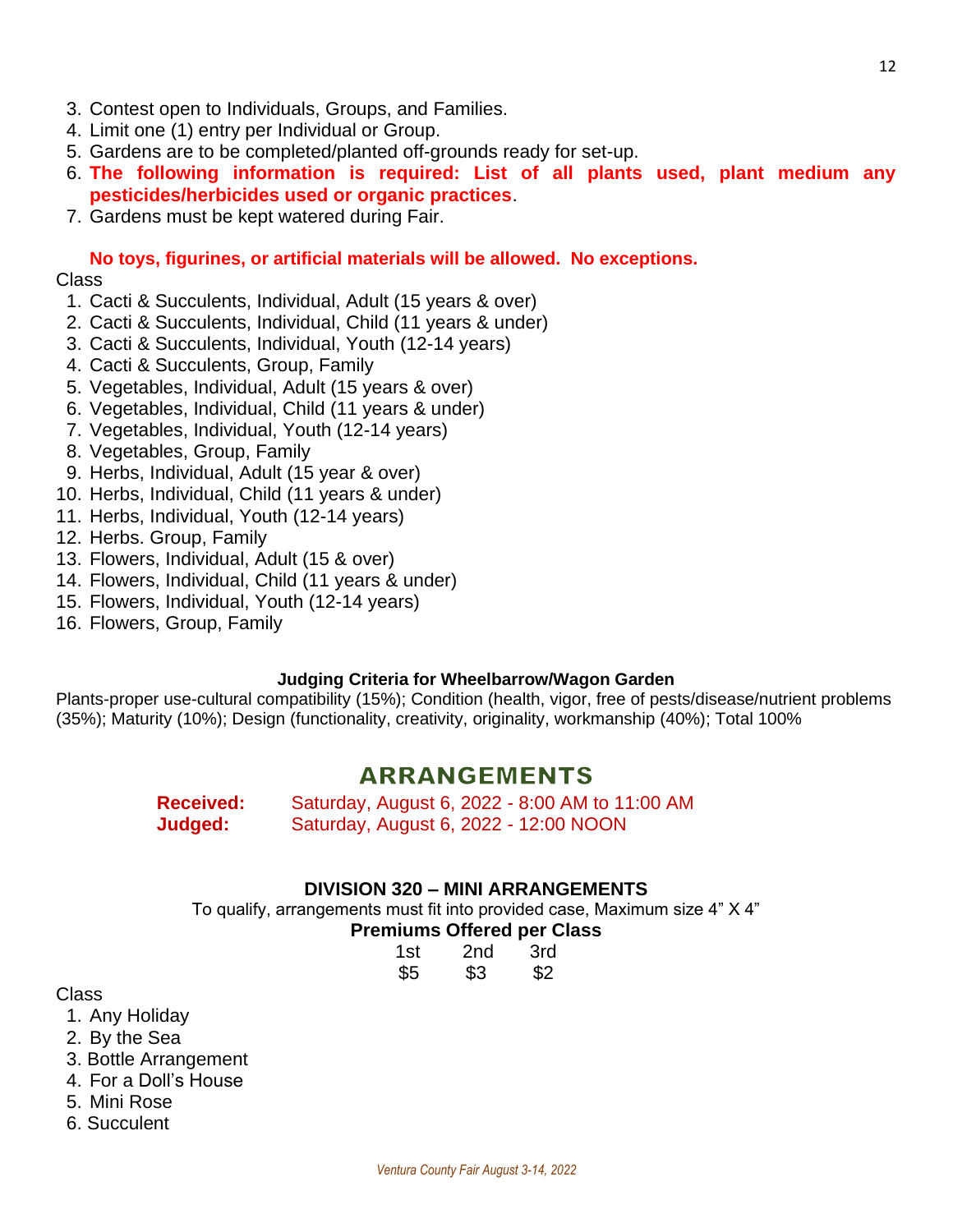- 3. Contest open to Individuals, Groups, and Families.
- 4. Limit one (1) entry per Individual or Group.
- 5. Gardens are to be completed/planted off-grounds ready for set-up.
- 6. **The following information is required: List of all plants used, plant medium any pesticides/herbicides used or organic practices**.
- 7. Gardens must be kept watered during Fair.

**No toys, figurines, or artificial materials will be allowed. No exceptions.** Class

- 1. Cacti & Succulents, Individual, Adult (15 years & over)
- 2. Cacti & Succulents, Individual, Child (11 years & under)
- 3. Cacti & Succulents, Individual, Youth (12-14 years)
- 4. Cacti & Succulents, Group, Family
- 5. Vegetables, Individual, Adult (15 years & over)
- 6. Vegetables, Individual, Child (11 years & under)
- 7. Vegetables, Individual, Youth (12-14 years)
- 8. Vegetables, Group, Family
- 9. Herbs, Individual, Adult (15 year & over)
- 10. Herbs, Individual, Child (11 years & under)
- 11. Herbs, Individual, Youth (12-14 years)
- 12. Herbs. Group, Family
- 13. Flowers, Individual, Adult (15 & over)
- 14. Flowers, Individual, Child (11 years & under)
- 15. Flowers, Individual, Youth (12-14 years)
- 16. Flowers, Group, Family

#### **Judging Criteria for Wheelbarrow/Wagon Garden**

Plants-proper use-cultural compatibility (15%); Condition (health, vigor, free of pests/disease/nutrient problems (35%); Maturity (10%); Design (functionality, creativity, originality, workmanship (40%); Total 100%

### **ARRANGEMENTS**

**Received:** Saturday, August 6, 2022 - 8:00 AM to 11:00 AM **Judged:** Saturday, August 6, 2022 - 12:00 NOON

### **DIVISION 320 – MINI ARRANGEMENTS**

To qualify, arrangements must fit into provided case, Maximum size 4" X 4"

### **Premiums Offered per Class**

| 1st | 2 <sub>nd</sub> | 3rd |
|-----|-----------------|-----|
| \$5 | \$3             | \$2 |

Class

1. Any Holiday

2. By the Sea

- 3. Bottle Arrangement
- 4. For a Doll's House
- 5. Mini Rose
- 6. Succulent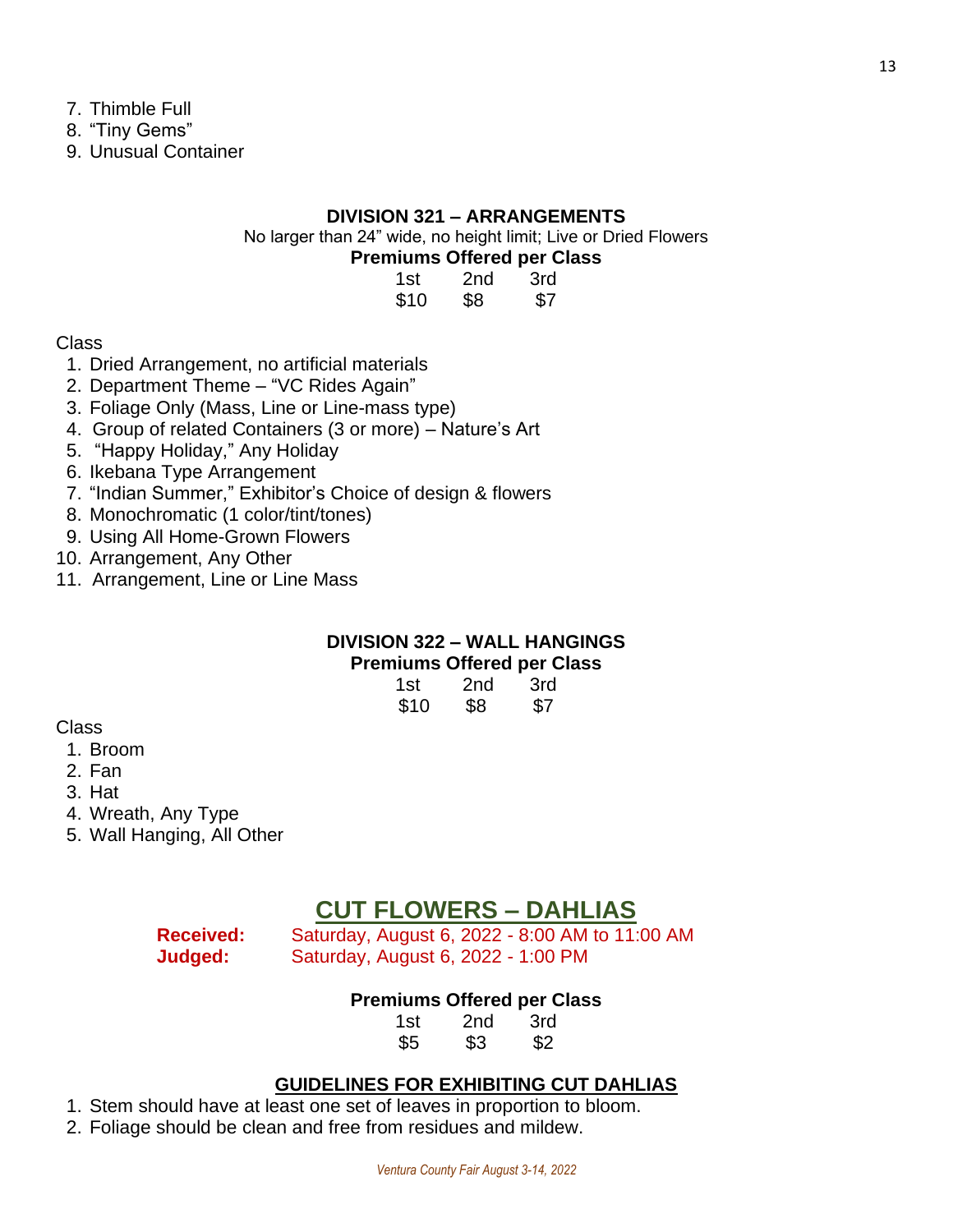- 7. Thimble Full
- 8. "Tiny Gems"

9. Unusual Container

### **DIVISION 321 – ARRANGEMENTS**

No larger than 24" wide, no height limit; Live or Dried Flowers **Premiums Offered per Class**

| 1st  | 2nd | 3rd |
|------|-----|-----|
| \$10 | \$8 | \$7 |

Class

- 1. Dried Arrangement, no artificial materials
- 2. Department Theme "VC Rides Again"
- 3. Foliage Only (Mass, Line or Line-mass type)
- 4. Group of related Containers (3 or more) Nature's Art
- 5. "Happy Holiday," Any Holiday
- 6. Ikebana Type Arrangement
- 7. "Indian Summer," Exhibitor's Choice of design & flowers
- 8. Monochromatic (1 color/tint/tones)
- 9. Using All Home-Grown Flowers
- 10. Arrangement, Any Other
- 11. Arrangement, Line or Line Mass

### **DIVISION 322 – WALL HANGINGS Premiums Offered per Class**

| 1st  | 2nd | 3rd |
|------|-----|-----|
| \$10 | \$8 | \$7 |

Class

- 1. Broom
- 2. Fan
- 3. Hat
- 4. Wreath, Any Type
- 5. Wall Hanging, All Other

### **CUT FLOWERS – DAHLIAS**

**Received:** Saturday, August 6, 2022 - 8:00 AM to 11:00 AM **Judged:** Saturday, August 6, 2022 - 1:00 PM

### **Premiums Offered per Class**

1st 2nd 3rd \$5 \$3 \$2

### **GUIDELINES FOR EXHIBITING CUT DAHLIAS**

1. Stem should have at least one set of leaves in proportion to bloom.

2. Foliage should be clean and free from residues and mildew.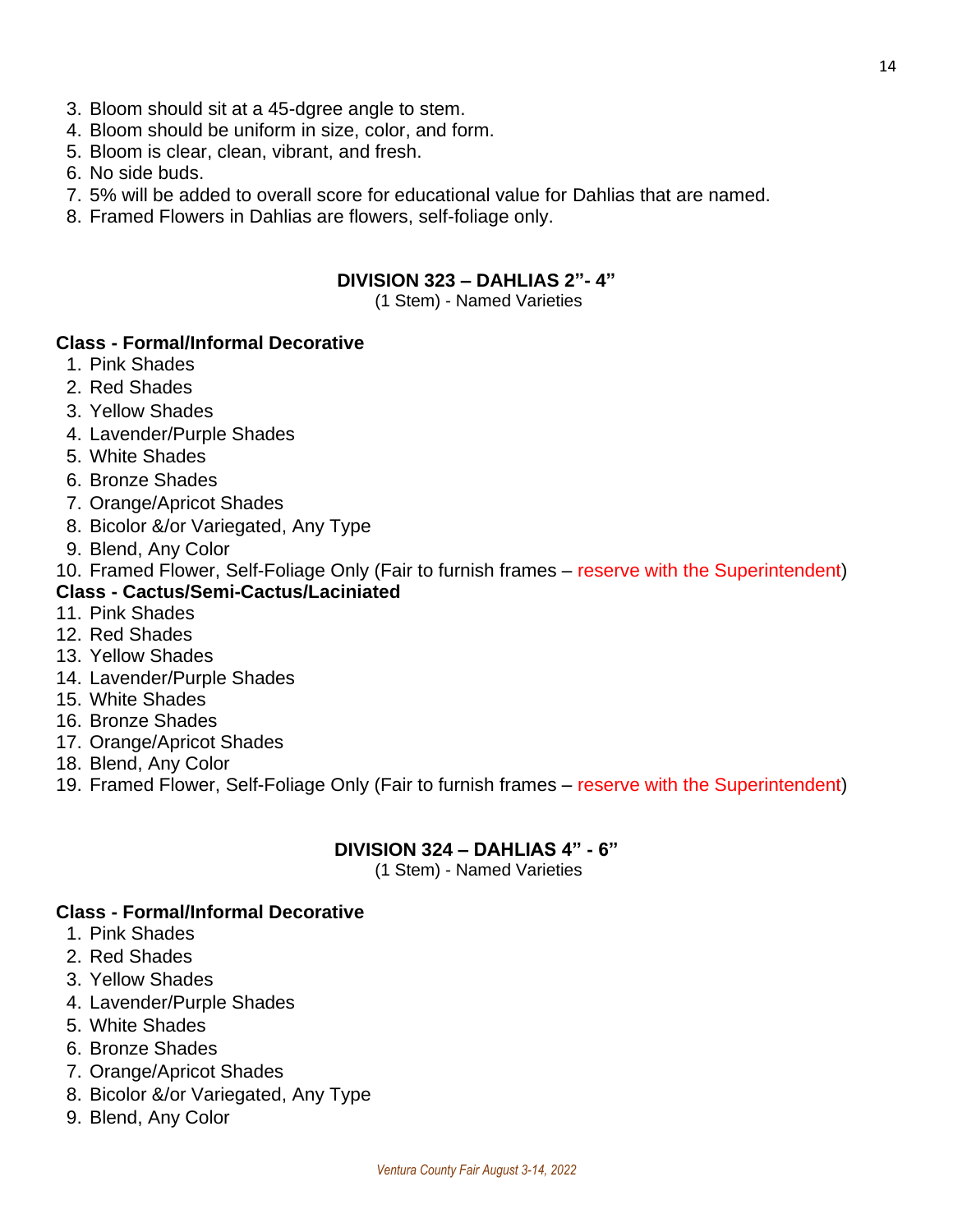- 3. Bloom should sit at a 45-dgree angle to stem.
- 4. Bloom should be uniform in size, color, and form.
- 5. Bloom is clear, clean, vibrant, and fresh.
- 6. No side buds.
- 7. 5% will be added to overall score for educational value for Dahlias that are named.
- 8. Framed Flowers in Dahlias are flowers, self-foliage only.

### **DIVISION 323 – DAHLIAS 2"- 4"**

(1 Stem) - Named Varieties

### **Class - Formal/Informal Decorative**

- 1. Pink Shades
- 2. Red Shades
- 3. Yellow Shades
- 4. Lavender/Purple Shades
- 5. White Shades
- 6. Bronze Shades
- 7. Orange/Apricot Shades
- 8. Bicolor &/or Variegated, Any Type
- 9. Blend, Any Color
- 10. Framed Flower, Self-Foliage Only (Fair to furnish frames reserve with the Superintendent)

### **Class - Cactus/Semi-Cactus/Laciniated**

- 11. Pink Shades
- 12. Red Shades
- 13. Yellow Shades
- 14. Lavender/Purple Shades
- 15. White Shades
- 16. Bronze Shades
- 17. Orange/Apricot Shades
- 18. Blend, Any Color
- 19. Framed Flower, Self-Foliage Only (Fair to furnish frames reserve with the Superintendent)

### **DIVISION 324 – DAHLIAS 4" - 6"**

(1 Stem) - Named Varieties

### **Class - Formal/Informal Decorative**

- 1. Pink Shades
- 2. Red Shades
- 3. Yellow Shades
- 4. Lavender/Purple Shades
- 5. White Shades
- 6. Bronze Shades
- 7. Orange/Apricot Shades
- 8. Bicolor &/or Variegated, Any Type
- 9. Blend, Any Color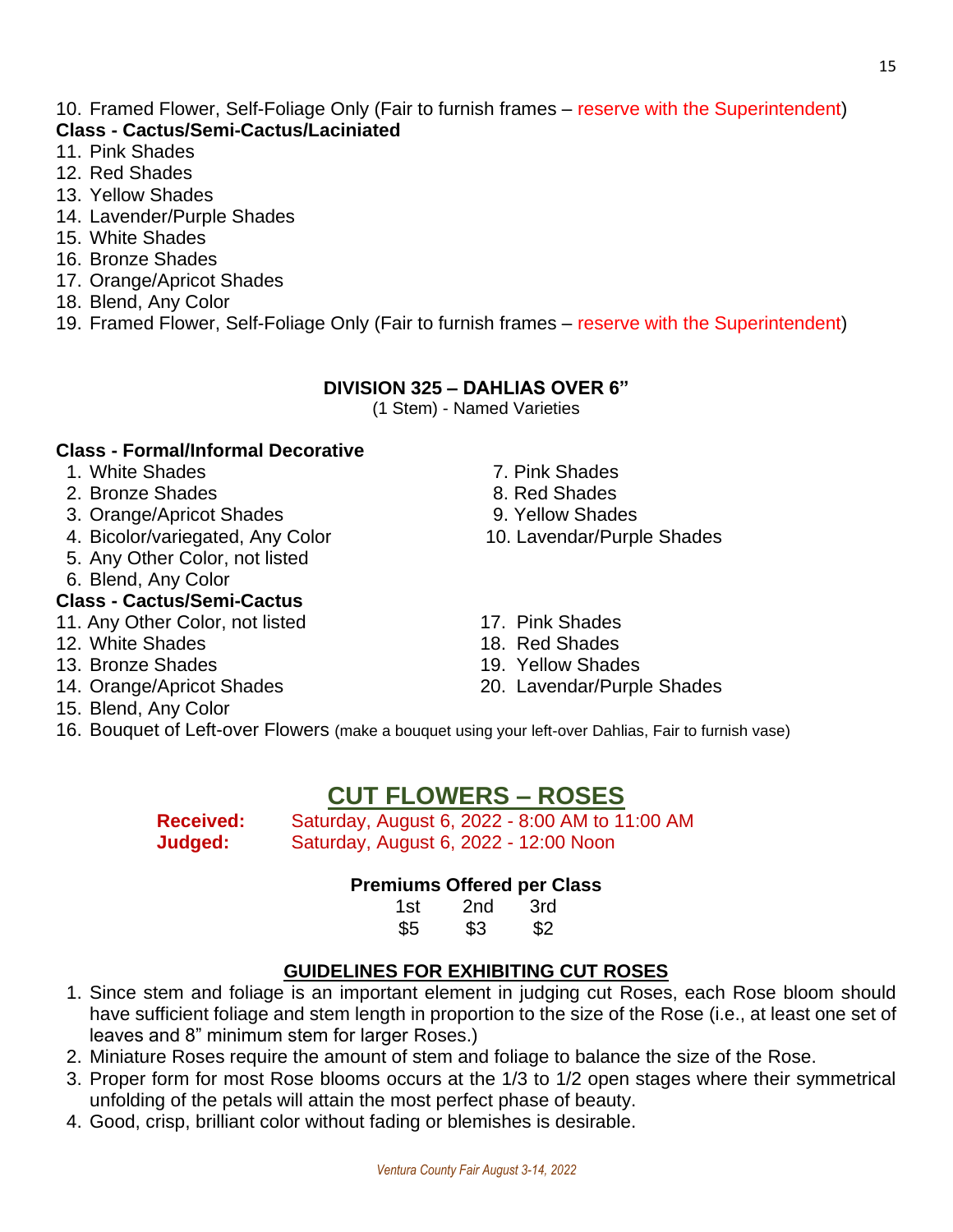#### 10. Framed Flower, Self-Foliage Only (Fair to furnish frames – reserve with the Superintendent) **Class - Cactus/Semi-Cactus/Laciniated**

- 11. Pink Shades
- 12. Red Shades
- 13. Yellow Shades
- 14. Lavender/Purple Shades
- 15. White Shades
- 16. Bronze Shades
- 17. Orange/Apricot Shades
- 18. Blend, Any Color
- 19. Framed Flower, Self-Foliage Only (Fair to furnish frames reserve with the Superintendent)

### **DIVISION 325 – DAHLIAS OVER 6"**

(1 Stem) - Named Varieties

### **Class - Formal/Informal Decorative**

- 1. White Shades **7. Pink Shades**
- 2. Bronze Shades 8. Red Shades
- 3. Orange/Apricot Shades 9. Yellow Shades
- 4. Bicolor/variegated, Any Color 10. Lavendar/Purple Shades
- 5. Any Other Color, not listed
- 6. Blend, Any Color

### **Class - Cactus/Semi-Cactus**

- 11. Any Other Color, not listed 17. Pink Shades
- 12. White Shades **18. Red Shades**
- 
- 
- 15. Blend, Any Color
- 
- 
- 
- 
- 
- 
- 13. Bronze Shades 19. Yellow Shades
- 14. Orange/Apricot Shades 20. Lavendar/Purple Shades

16. Bouquet of Left-over Flowers (make a bouquet using your left-over Dahlias, Fair to furnish vase)

### **CUT FLOWERS – ROSES**

**Received:** Saturday, August 6, 2022 - 8:00 AM to 11:00 AM **Judged:** Saturday, August 6, 2022 - 12:00 Noon

### **Premiums Offered per Class**

| 1st | 2 <sub>nd</sub> | 3rd |  |
|-----|-----------------|-----|--|
| \$5 | \$3             | \$2 |  |

### **GUIDELINES FOR EXHIBITING CUT ROSES**

- 1. Since stem and foliage is an important element in judging cut Roses, each Rose bloom should have sufficient foliage and stem length in proportion to the size of the Rose (i.e., at least one set of leaves and 8" minimum stem for larger Roses.)
- 2. Miniature Roses require the amount of stem and foliage to balance the size of the Rose.
- 3. Proper form for most Rose blooms occurs at the 1/3 to 1/2 open stages where their symmetrical unfolding of the petals will attain the most perfect phase of beauty.
- 4. Good, crisp, brilliant color without fading or blemishes is desirable.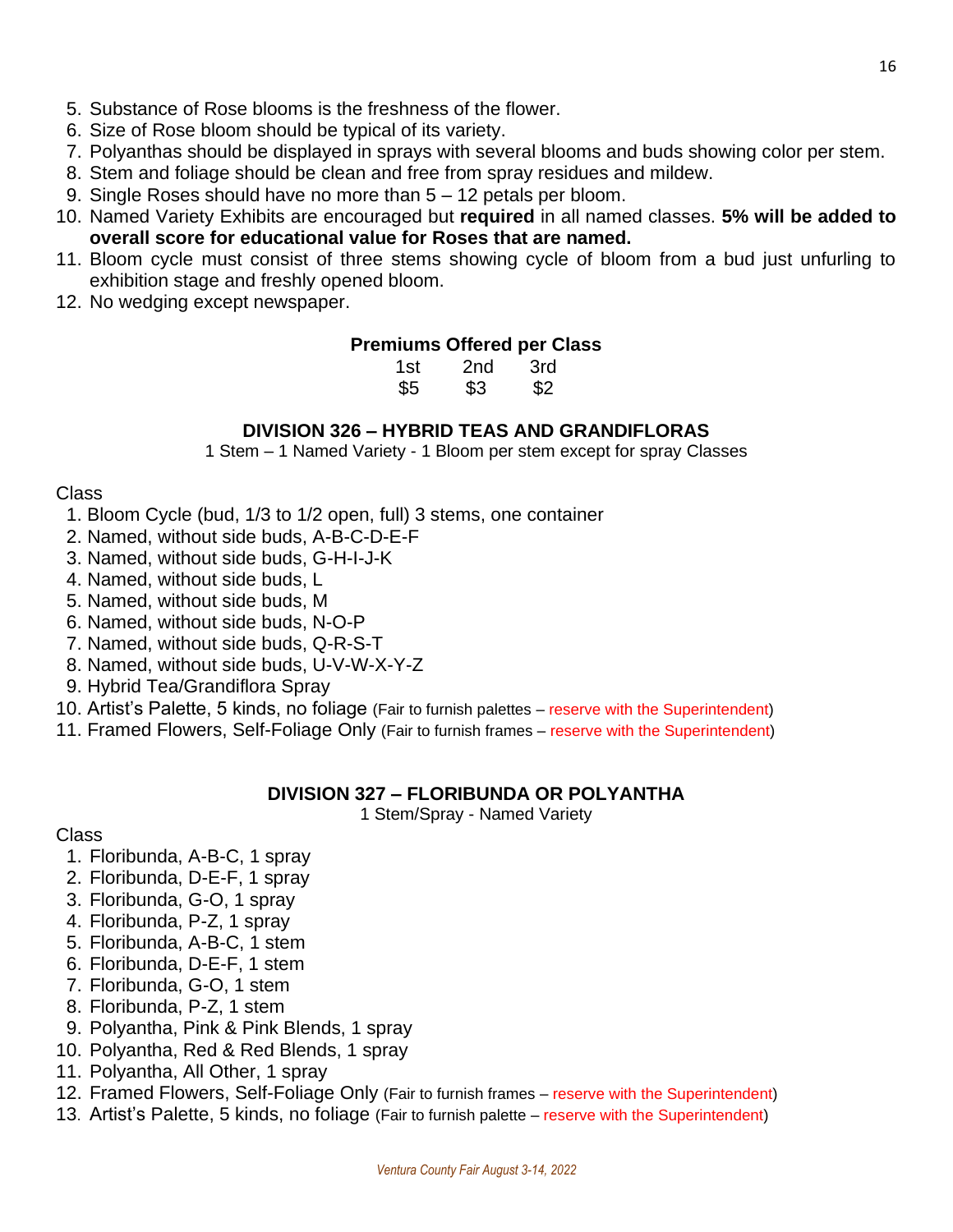- 6. Size of Rose bloom should be typical of its variety.
- 7. Polyanthas should be displayed in sprays with several blooms and buds showing color per stem.
- 8. Stem and foliage should be clean and free from spray residues and mildew.
- 9. Single Roses should have no more than 5 12 petals per bloom.
- 10. Named Variety Exhibits are encouraged but **required** in all named classes. **5% will be added to overall score for educational value for Roses that are named.**
- 11. Bloom cycle must consist of three stems showing cycle of bloom from a bud just unfurling to exhibition stage and freshly opened bloom.
- 12. No wedging except newspaper.

### **Premiums Offered per Class**

| 1st | 2nd | 3rd |
|-----|-----|-----|
| \$5 | \$3 | \$2 |

### **DIVISION 326 – HYBRID TEAS AND GRANDIFLORAS**

1 Stem – 1 Named Variety - 1 Bloom per stem except for spray Classes

### Class

- 1. Bloom Cycle (bud, 1/3 to 1/2 open, full) 3 stems, one container
- 2. Named, without side buds, A-B-C-D-E-F
- 3. Named, without side buds, G-H-I-J-K
- 4. Named, without side buds, L
- 5. Named, without side buds, M
- 6. Named, without side buds, N-O-P
- 7. Named, without side buds, Q-R-S-T
- 8. Named, without side buds, U-V-W-X-Y-Z
- 9. Hybrid Tea/Grandiflora Spray
- 10. Artist's Palette, 5 kinds, no foliage (Fair to furnish palettes reserve with the Superintendent)
- 11. Framed Flowers, Self-Foliage Only (Fair to furnish frames reserve with the Superintendent)

### **DIVISION 327 – FLORIBUNDA OR POLYANTHA**

1 Stem/Spray - Named Variety

### Class

- 1. Floribunda, A-B-C, 1 spray
- 2. Floribunda, D-E-F, 1 spray
- 3. Floribunda, G-O, 1 spray
- 4. Floribunda, P-Z, 1 spray
- 5. Floribunda, A-B-C, 1 stem
- 6. Floribunda, D-E-F, 1 stem
- 7. Floribunda, G-O, 1 stem
- 8. Floribunda, P-Z, 1 stem
- 9. Polyantha, Pink & Pink Blends, 1 spray
- 10. Polyantha, Red & Red Blends, 1 spray
- 11. Polyantha, All Other, 1 spray
- 12. Framed Flowers, Self-Foliage Only (Fair to furnish frames reserve with the Superintendent)
- 13. Artist's Palette, 5 kinds, no foliage (Fair to furnish palette reserve with the Superintendent)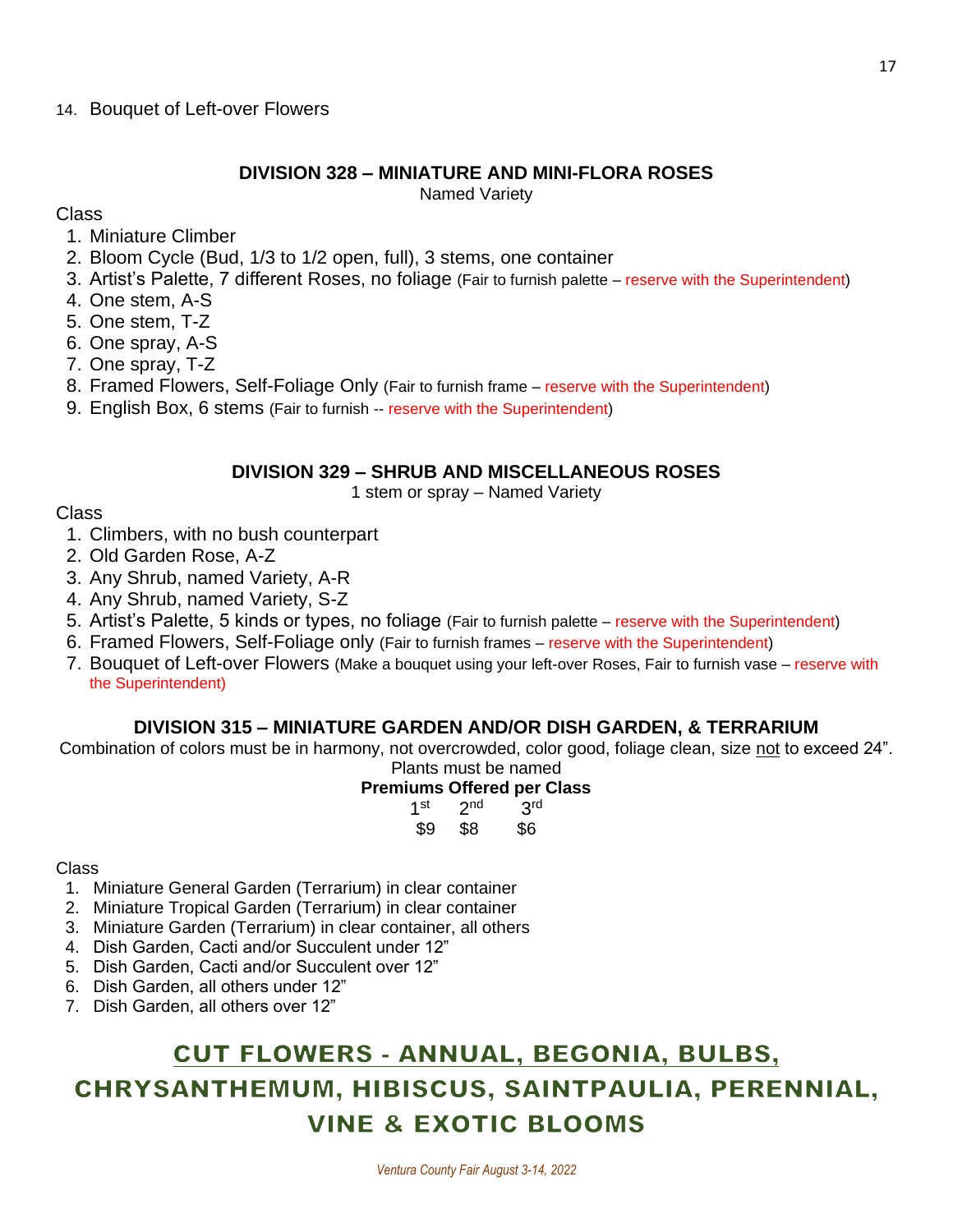### **DIVISION 328 – MINIATURE AND MINI-FLORA ROSES**

Named Variety

### Class

- 1. Miniature Climber
- 2. Bloom Cycle (Bud, 1/3 to 1/2 open, full), 3 stems, one container
- 3. Artist's Palette, 7 different Roses, no foliage (Fair to furnish palette reserve with the Superintendent)
- 4. One stem, A-S
- 5. One stem, T-Z
- 6. One spray, A-S
- 7. One spray, T-Z
- 8. Framed Flowers, Self-Foliage Only (Fair to furnish frame reserve with the Superintendent)
- 9. English Box, 6 stems (Fair to furnish -- reserve with the Superintendent)

### **DIVISION 329 – SHRUB AND MISCELLANEOUS ROSES**

1 stem or spray – Named Variety

### Class

- 1. Climbers, with no bush counterpart
- 2. Old Garden Rose, A-Z
- 3. Any Shrub, named Variety, A-R
- 4. Any Shrub, named Variety, S-Z
- 5. Artist's Palette, 5 kinds or types, no foliage (Fair to furnish palette reserve with the Superintendent)
- 6. Framed Flowers, Self-Foliage only (Fair to furnish frames reserve with the Superintendent)
- 7. Bouquet of Left-over Flowers (Make a bouquet using your left-over Roses, Fair to furnish vase reserve with the Superintendent)

### **DIVISION 315 – MINIATURE GARDEN AND/OR DISH GARDEN, & TERRARIUM**

Combination of colors must be in harmony, not overcrowded, color good, foliage clean, size not to exceed 24". Plants must be named

### **Premiums Offered per Class**

| 1st | 2 <sub>nd</sub> | 3 <sup>rd</sup> |
|-----|-----------------|-----------------|
| \$9 | \$8             | \$6             |

### Class

- 1. Miniature General Garden (Terrarium) in clear container
- 2. Miniature Tropical Garden (Terrarium) in clear container
- 3. Miniature Garden (Terrarium) in clear container, all others
- 4. Dish Garden, Cacti and/or Succulent under 12"
- 5. Dish Garden, Cacti and/or Succulent over 12"
- 6. Dish Garden, all others under 12"
- 7. Dish Garden, all others over 12"

## **CUT FLOWERS - ANNUAL, BEGONIA, BULBS,** CHRYSANTHEMUM, HIBISCUS, SAINTPAULIA, PERENNIAL, **VINE & EXOTIC BLOOMS**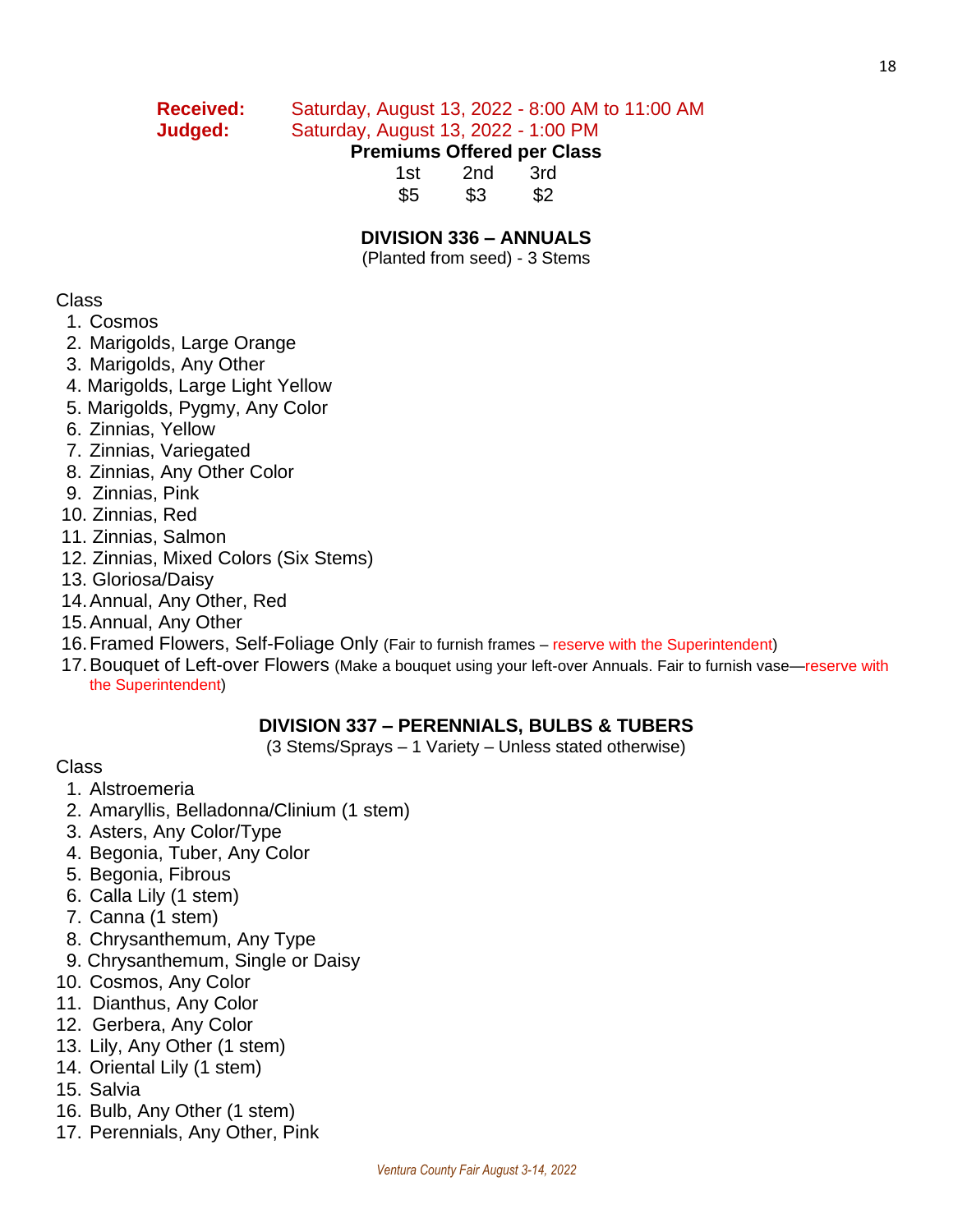## **Received:** Saturday, August 13, 2022 - 8:00 AM to 11:00 AM

### **Judged:** Saturday, August 13, 2022 - 1:00 PM

### **Premiums Offered per Class**

| 1st | 2nd | 3rd |
|-----|-----|-----|
| \$5 | \$3 | \$2 |

### **DIVISION 336 – ANNUALS**

(Planted from seed) - 3 Stems

### Class

- 1. Cosmos
- 2. Marigolds, Large Orange
- 3. Marigolds, Any Other
- 4. Marigolds, Large Light Yellow
- 5. Marigolds, Pygmy, Any Color
- 6. Zinnias, Yellow
- 7. Zinnias, Variegated
- 8. Zinnias, Any Other Color
- 9. Zinnias, Pink
- 10. Zinnias, Red
- 11. Zinnias, Salmon
- 12. Zinnias, Mixed Colors (Six Stems)
- 13. Gloriosa/Daisy
- 14.Annual, Any Other, Red
- 15.Annual, Any Other
- 16.Framed Flowers, Self-Foliage Only (Fair to furnish frames reserve with the Superintendent)
- 17. Bouquet of Left-over Flowers (Make a bouquet using your left-over Annuals. Fair to furnish vase—reserve with the Superintendent)

### **DIVISION 337 – PERENNIALS, BULBS & TUBERS**

(3 Stems/Sprays – 1 Variety – Unless stated otherwise)

- Class
	- 1. Alstroemeria
- 2. Amaryllis, Belladonna/Clinium (1 stem)
- 3. Asters, Any Color/Type
- 4. Begonia, Tuber, Any Color
- 5. Begonia, Fibrous
- 6. Calla Lily (1 stem)
- 7. Canna (1 stem)
- 8. Chrysanthemum, Any Type
- 9. Chrysanthemum, Single or Daisy
- 10. Cosmos, Any Color
- 11. Dianthus, Any Color
- 12. Gerbera, Any Color
- 13. Lily, Any Other (1 stem)
- 14. Oriental Lily (1 stem)
- 15. Salvia
- 16. Bulb, Any Other (1 stem)
- 17. Perennials, Any Other, Pink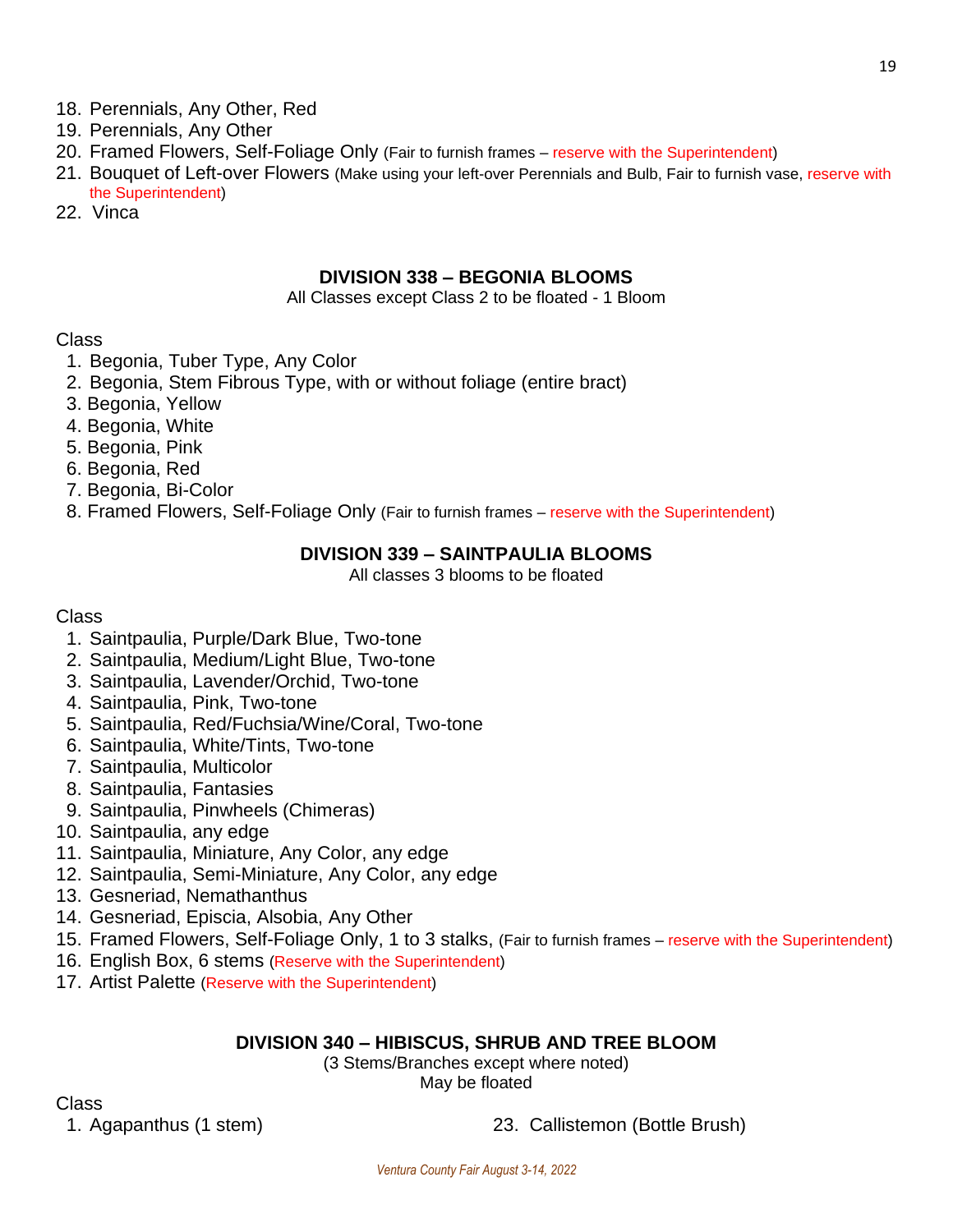- 18. Perennials, Any Other, Red
- 19. Perennials, Any Other
- 20. Framed Flowers, Self-Foliage Only (Fair to furnish frames reserve with the Superintendent)
- 21. Bouquet of Left-over Flowers (Make using your left-over Perennials and Bulb, Fair to furnish vase, reserve with the Superintendent)
- 22. Vinca

### **DIVISION 338 – BEGONIA BLOOMS**

#### All Classes except Class 2 to be floated - 1 Bloom

### Class

- 1. Begonia, Tuber Type, Any Color
- 2. Begonia, Stem Fibrous Type, with or without foliage (entire bract)
- 3. Begonia, Yellow
- 4. Begonia, White
- 5. Begonia, Pink
- 6. Begonia, Red
- 7. Begonia, Bi-Color
- 8. Framed Flowers, Self-Foliage Only (Fair to furnish frames reserve with the Superintendent)

### **DIVISION 339 – SAINTPAULIA BLOOMS**

All classes 3 blooms to be floated

### Class

- 1. Saintpaulia, Purple/Dark Blue, Two-tone
- 2. Saintpaulia, Medium/Light Blue, Two-tone
- 3. Saintpaulia, Lavender/Orchid, Two-tone
- 4. Saintpaulia, Pink, Two-tone
- 5. Saintpaulia, Red/Fuchsia/Wine/Coral, Two-tone
- 6. Saintpaulia, White/Tints, Two-tone
- 7. Saintpaulia, Multicolor
- 8. Saintpaulia, Fantasies
- 9. Saintpaulia, Pinwheels (Chimeras)
- 10. Saintpaulia, any edge
- 11. Saintpaulia, Miniature, Any Color, any edge
- 12. Saintpaulia, Semi-Miniature, Any Color, any edge
- 13. Gesneriad, Nemathanthus
- 14. Gesneriad, Episcia, Alsobia, Any Other
- 15. Framed Flowers, Self-Foliage Only, 1 to 3 stalks, (Fair to furnish frames reserve with the Superintendent)
- 16. English Box, 6 stems (Reserve with the Superintendent)
- 17. Artist Palette (Reserve with the Superintendent)

### **DIVISION 340 – HIBISCUS, SHRUB AND TREE BLOOM**

(3 Stems/Branches except where noted) May be floated

Class

1. Agapanthus (1 stem) 23. Callistemon (Bottle Brush)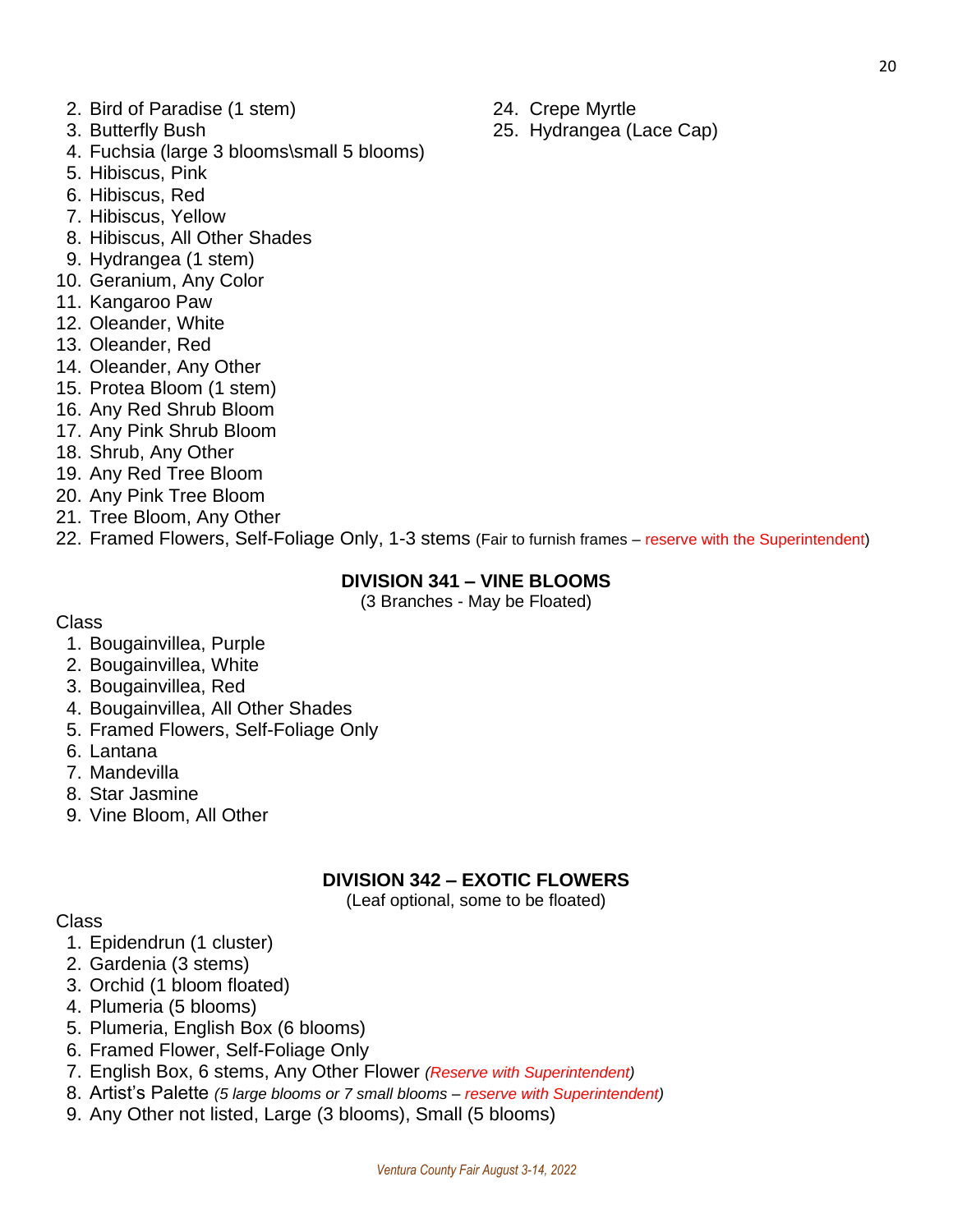- 2. Bird of Paradise (1 stem) 24. Crepe Myrtle
- 
- 4. Fuchsia (large 3 blooms\small 5 blooms)
- 5. Hibiscus, Pink
- 6. Hibiscus, Red
- 7. Hibiscus, Yellow
- 8. Hibiscus, All Other Shades
- 9. Hydrangea (1 stem)
- 10. Geranium, Any Color
- 11. Kangaroo Paw
- 12. Oleander, White
- 13. Oleander, Red
- 14. Oleander, Any Other
- 15. Protea Bloom (1 stem)
- 16. Any Red Shrub Bloom
- 17. Any Pink Shrub Bloom
- 18. Shrub, Any Other
- 19. Any Red Tree Bloom
- 20. Any Pink Tree Bloom
- 21. Tree Bloom, Any Other
- 22. Framed Flowers, Self-Foliage Only, 1-3 stems (Fair to furnish frames reserve with the Superintendent)

### **DIVISION 341 – VINE BLOOMS**

(3 Branches - May be Floated)

### Class

- 1. Bougainvillea, Purple
- 2. Bougainvillea, White
- 3. Bougainvillea, Red
- 4. Bougainvillea, All Other Shades
- 5. Framed Flowers, Self-Foliage Only
- 6. Lantana
- 7. Mandevilla
- 8. Star Jasmine
- 9. Vine Bloom, All Other

### **DIVISION 342 – EXOTIC FLOWERS**

(Leaf optional, some to be floated)

### Class

- 1. Epidendrun (1 cluster)
- 2. Gardenia (3 stems)
- 3. Orchid (1 bloom floated)
- 4. Plumeria (5 blooms)
- 5. Plumeria, English Box (6 blooms)
- 6. Framed Flower, Self-Foliage Only
- 7. English Box, 6 stems, Any Other Flower *(Reserve with Superintendent)*
- 8. Artist's Palette *(5 large blooms or 7 small blooms – reserve with Superintendent)*
- 9. Any Other not listed, Large (3 blooms), Small (5 blooms)
- 
- 3. Butterfly Bush 25. Hydrangea (Lace Cap)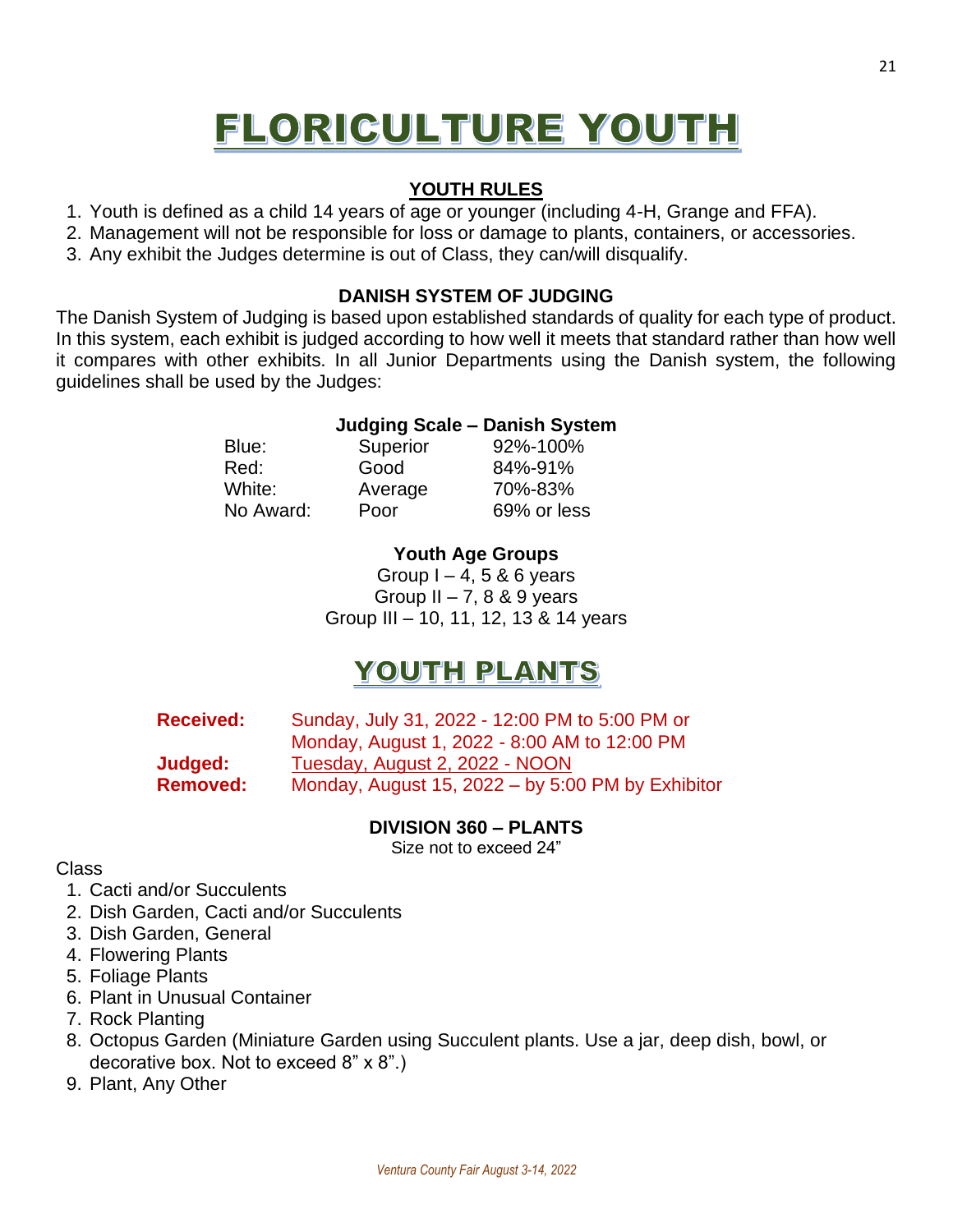# FLORICULTURE YOUTH

### **YOUTH RULES**

- 1. Youth is defined as a child 14 years of age or younger (including 4-H, Grange and FFA).
- 2. Management will not be responsible for loss or damage to plants, containers, or accessories.
- 3. Any exhibit the Judges determine is out of Class, they can/will disqualify.

### **DANISH SYSTEM OF JUDGING**

The Danish System of Judging is based upon established standards of quality for each type of product. In this system, each exhibit is judged according to how well it meets that standard rather than how well it compares with other exhibits. In all Junior Departments using the Danish system, the following guidelines shall be used by the Judges:

### **Judging Scale – Danish System**

Red: Good 84%-91% White: Average 70%-83% No Award: Poor 69% or less

Blue: Superior 92%-100%

### **Youth Age Groups**

Group  $I - 4$ , 5 & 6 years Group  $II - 7$ , 8 & 9 years Group III – 10, 11, 12, 13 & 14 years

## YOUTH PLANTS

| <b>Received:</b> | Sunday, July 31, 2022 - 12:00 PM to 5:00 PM or    |
|------------------|---------------------------------------------------|
|                  | Monday, August 1, 2022 - 8:00 AM to 12:00 PM      |
| Judged:          | Tuesday, August 2, 2022 - NOON                    |
| <b>Removed:</b>  | Monday, August 15, 2022 - by 5:00 PM by Exhibitor |

### **DIVISION 360 – PLANTS**

Size not to exceed 24"

### Class

- 1. Cacti and/or Succulents
- 2. Dish Garden, Cacti and/or Succulents
- 3. Dish Garden, General
- 4. Flowering Plants
- 5. Foliage Plants
- 6. Plant in Unusual Container
- 7. Rock Planting
- 8. Octopus Garden (Miniature Garden using Succulent plants. Use a jar, deep dish, bowl, or decorative box. Not to exceed 8" x 8".)
- 9. Plant, Any Other